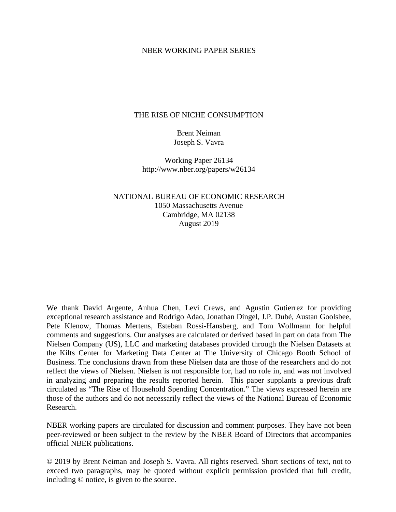## NBER WORKING PAPER SERIES

## THE RISE OF NICHE CONSUMPTION

Brent Neiman Joseph S. Vavra

Working Paper 26134 http://www.nber.org/papers/w26134

NATIONAL BUREAU OF ECONOMIC RESEARCH 1050 Massachusetts Avenue Cambridge, MA 02138 August 2019

We thank David Argente, Anhua Chen, Levi Crews, and Agustin Gutierrez for providing exceptional research assistance and Rodrigo Adao, Jonathan Dingel, J.P. Dubé, Austan Goolsbee, Pete Klenow, Thomas Mertens, Esteban Rossi-Hansberg, and Tom Wollmann for helpful comments and suggestions. Our analyses are calculated or derived based in part on data from The Nielsen Company (US), LLC and marketing databases provided through the Nielsen Datasets at the Kilts Center for Marketing Data Center at The University of Chicago Booth School of Business. The conclusions drawn from these Nielsen data are those of the researchers and do not reflect the views of Nielsen. Nielsen is not responsible for, had no role in, and was not involved in analyzing and preparing the results reported herein. This paper supplants a previous draft circulated as "The Rise of Household Spending Concentration." The views expressed herein are those of the authors and do not necessarily reflect the views of the National Bureau of Economic Research.

NBER working papers are circulated for discussion and comment purposes. They have not been peer-reviewed or been subject to the review by the NBER Board of Directors that accompanies official NBER publications.

© 2019 by Brent Neiman and Joseph S. Vavra. All rights reserved. Short sections of text, not to exceed two paragraphs, may be quoted without explicit permission provided that full credit, including © notice, is given to the source.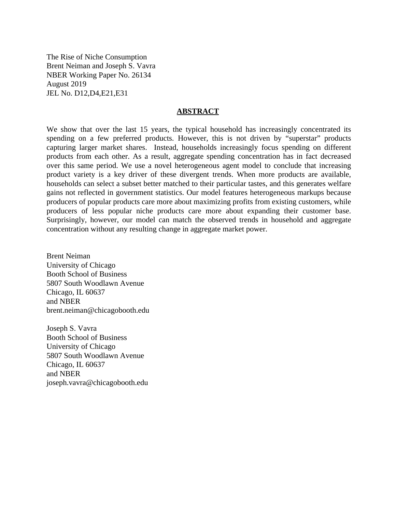The Rise of Niche Consumption Brent Neiman and Joseph S. Vavra NBER Working Paper No. 26134 August 2019 JEL No. D12,D4,E21,E31

### **ABSTRACT**

We show that over the last 15 years, the typical household has increasingly concentrated its spending on a few preferred products. However, this is not driven by "superstar" products capturing larger market shares. Instead, households increasingly focus spending on different products from each other. As a result, aggregate spending concentration has in fact decreased over this same period. We use a novel heterogeneous agent model to conclude that increasing product variety is a key driver of these divergent trends. When more products are available, households can select a subset better matched to their particular tastes, and this generates welfare gains not reflected in government statistics. Our model features heterogeneous markups because producers of popular products care more about maximizing profits from existing customers, while producers of less popular niche products care more about expanding their customer base. Surprisingly, however, our model can match the observed trends in household and aggregate concentration without any resulting change in aggregate market power.

Brent Neiman University of Chicago Booth School of Business 5807 South Woodlawn Avenue Chicago, IL 60637 and NBER brent.neiman@chicagobooth.edu

Joseph S. Vavra Booth School of Business University of Chicago 5807 South Woodlawn Avenue Chicago, IL 60637 and NBER joseph.vavra@chicagobooth.edu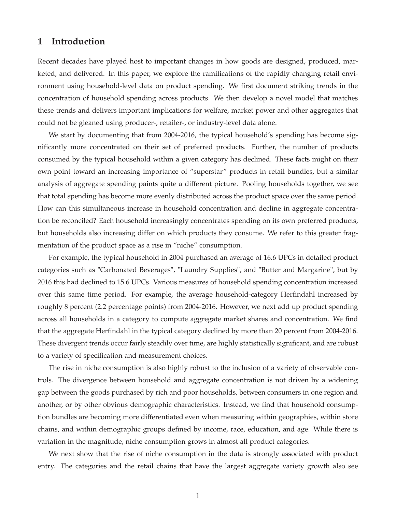## **1 Introduction**

Recent decades have played host to important changes in how goods are designed, produced, marketed, and delivered. In this paper, we explore the ramifications of the rapidly changing retail environment using household-level data on product spending. We first document striking trends in the concentration of household spending across products. We then develop a novel model that matches these trends and delivers important implications for welfare, market power and other aggregates that could not be gleaned using producer-, retailer-, or industry-level data alone.

We start by documenting that from 2004-2016, the typical household's spending has become significantly more concentrated on their set of preferred products. Further, the number of products consumed by the typical household within a given category has declined. These facts might on their own point toward an increasing importance of "superstar" products in retail bundles, but a similar analysis of aggregate spending paints quite a different picture. Pooling households together, we see that total spending has become more evenly distributed across the product space over the same period. How can this simultaneous increase in household concentration and decline in aggregate concentration be reconciled? Each household increasingly concentrates spending on its own preferred products, but households also increasing differ on which products they consume. We refer to this greater fragmentation of the product space as a rise in "niche" consumption.

For example, the typical household in 2004 purchased an average of 16.6 UPCs in detailed product categories such as "Carbonated Beverages", "Laundry Supplies", and "Butter and Margarine", but by 2016 this had declined to 15.6 UPCs. Various measures of household spending concentration increased over this same time period. For example, the average household-category Herfindahl increased by roughly 8 percent (2.2 percentage points) from 2004-2016. However, we next add up product spending across all households in a category to compute aggregate market shares and concentration. We find that the aggregate Herfindahl in the typical category declined by more than 20 percent from 2004-2016. These divergent trends occur fairly steadily over time, are highly statistically significant, and are robust to a variety of specification and measurement choices.

The rise in niche consumption is also highly robust to the inclusion of a variety of observable controls. The divergence between household and aggregate concentration is not driven by a widening gap between the goods purchased by rich and poor households, between consumers in one region and another, or by other obvious demographic characteristics. Instead, we find that household consumption bundles are becoming more differentiated even when measuring within geographies, within store chains, and within demographic groups defined by income, race, education, and age. While there is variation in the magnitude, niche consumption grows in almost all product categories.

We next show that the rise of niche consumption in the data is strongly associated with product entry. The categories and the retail chains that have the largest aggregate variety growth also see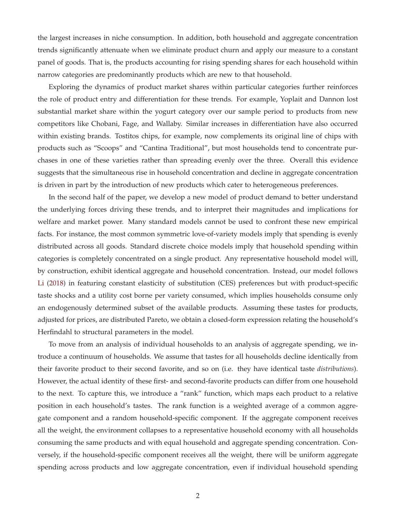the largest increases in niche consumption. In addition, both household and aggregate concentration trends significantly attenuate when we eliminate product churn and apply our measure to a constant panel of goods. That is, the products accounting for rising spending shares for each household within narrow categories are predominantly products which are new to that household.

Exploring the dynamics of product market shares within particular categories further reinforces the role of product entry and differentiation for these trends. For example, Yoplait and Dannon lost substantial market share within the yogurt category over our sample period to products from new competitors like Chobani, Fage, and Wallaby. Similar increases in differentiation have also occurred within existing brands. Tostitos chips, for example, now complements its original line of chips with products such as "Scoops" and "Cantina Traditional", but most households tend to concentrate purchases in one of these varieties rather than spreading evenly over the three. Overall this evidence suggests that the simultaneous rise in household concentration and decline in aggregate concentration is driven in part by the introduction of new products which cater to heterogeneous preferences.

In the second half of the paper, we develop a new model of product demand to better understand the underlying forces driving these trends, and to interpret their magnitudes and implications for welfare and market power. Many standard models cannot be used to confront these new empirical facts. For instance, the most common symmetric love-of-variety models imply that spending is evenly distributed across all goods. Standard discrete choice models imply that household spending within categories is completely concentrated on a single product. Any representative household model will, by construction, exhibit identical aggregate and household concentration. Instead, our model follows Li (2018) in featuring constant elasticity of substitution (CES) preferences but with product-specific taste shocks and a utility cost borne per variety consumed, which implies households consume only an endogenously determined subset of the available products. Assuming these tastes for products, adjusted for prices, are distributed Pareto, we obtain a closed-form expression relating the household's Herfindahl to structural parameters in the model.

To move from an analysis of individual households to an analysis of aggregate spending, we introduce a continuum of households. We assume that tastes for all households decline identically from their favorite product to their second favorite, and so on (i.e. they have identical taste *distributions*). However, the actual identity of these first- and second-favorite products can differ from one household to the next. To capture this, we introduce a "rank" function, which maps each product to a relative position in each household's tastes. The rank function is a weighted average of a common aggregate component and a random household-specific component. If the aggregate component receives all the weight, the environment collapses to a representative household economy with all households consuming the same products and with equal household and aggregate spending concentration. Conversely, if the household-specific component receives all the weight, there will be uniform aggregate spending across products and low aggregate concentration, even if individual household spending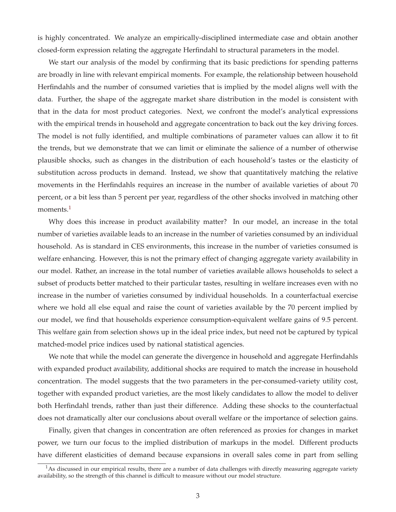is highly concentrated. We analyze an empirically-disciplined intermediate case and obtain another closed-form expression relating the aggregate Herfindahl to structural parameters in the model.

We start our analysis of the model by confirming that its basic predictions for spending patterns are broadly in line with relevant empirical moments. For example, the relationship between household Herfindahls and the number of consumed varieties that is implied by the model aligns well with the data. Further, the shape of the aggregate market share distribution in the model is consistent with that in the data for most product categories. Next, we confront the model's analytical expressions with the empirical trends in household and aggregate concentration to back out the key driving forces. The model is not fully identified, and multiple combinations of parameter values can allow it to fit the trends, but we demonstrate that we can limit or eliminate the salience of a number of otherwise plausible shocks, such as changes in the distribution of each household's tastes or the elasticity of substitution across products in demand. Instead, we show that quantitatively matching the relative movements in the Herfindahls requires an increase in the number of available varieties of about 70 percent, or a bit less than 5 percent per year, regardless of the other shocks involved in matching other moments.<sup>1</sup>

Why does this increase in product availability matter? In our model, an increase in the total number of varieties available leads to an increase in the number of varieties consumed by an individual household. As is standard in CES environments, this increase in the number of varieties consumed is welfare enhancing. However, this is not the primary effect of changing aggregate variety availability in our model. Rather, an increase in the total number of varieties available allows households to select a subset of products better matched to their particular tastes, resulting in welfare increases even with no increase in the number of varieties consumed by individual households. In a counterfactual exercise where we hold all else equal and raise the count of varieties available by the 70 percent implied by our model, we find that households experience consumption-equivalent welfare gains of 9.5 percent. This welfare gain from selection shows up in the ideal price index, but need not be captured by typical matched-model price indices used by national statistical agencies.

We note that while the model can generate the divergence in household and aggregate Herfindahls with expanded product availability, additional shocks are required to match the increase in household concentration. The model suggests that the two parameters in the per-consumed-variety utility cost, together with expanded product varieties, are the most likely candidates to allow the model to deliver both Herfindahl trends, rather than just their difference. Adding these shocks to the counterfactual does not dramatically alter our conclusions about overall welfare or the importance of selection gains.

Finally, given that changes in concentration are often referenced as proxies for changes in market power, we turn our focus to the implied distribution of markups in the model. Different products have different elasticities of demand because expansions in overall sales come in part from selling

 $<sup>1</sup>$ As discussed in our empirical results, there are a number of data challenges with directly measuring aggregate variety</sup> availability, so the strength of this channel is difficult to measure without our model structure.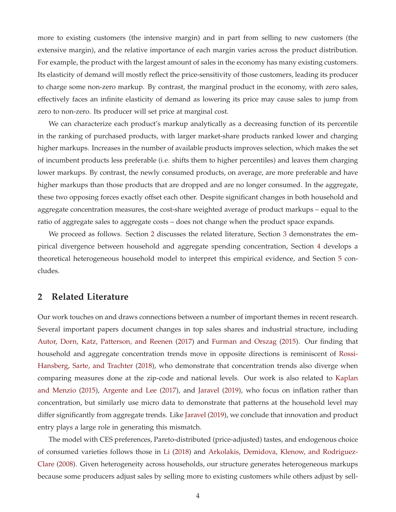more to existing customers (the intensive margin) and in part from selling to new customers (the extensive margin), and the relative importance of each margin varies across the product distribution. For example, the product with the largest amount of sales in the economy has many existing customers. Its elasticity of demand will mostly reflect the price-sensitivity of those customers, leading its producer to charge some non-zero markup. By contrast, the marginal product in the economy, with zero sales, effectively faces an infinite elasticity of demand as lowering its price may cause sales to jump from zero to non-zero. Its producer will set price at marginal cost.

We can characterize each product's markup analytically as a decreasing function of its percentile in the ranking of purchased products, with larger market-share products ranked lower and charging higher markups. Increases in the number of available products improves selection, which makes the set of incumbent products less preferable (i.e. shifts them to higher percentiles) and leaves them charging lower markups. By contrast, the newly consumed products, on average, are more preferable and have higher markups than those products that are dropped and are no longer consumed. In the aggregate, these two opposing forces exactly offset each other. Despite significant changes in both household and aggregate concentration measures, the cost-share weighted average of product markups – equal to the ratio of aggregate sales to aggregate costs – does not change when the product space expands.

We proceed as follows. Section 2 discusses the related literature, Section 3 demonstrates the empirical divergence between household and aggregate spending concentration, Section 4 develops a theoretical heterogeneous household model to interpret this empirical evidence, and Section 5 concludes.

## **2 Related Literature**

Our work touches on and draws connections between a number of important themes in recent research. Several important papers document changes in top sales shares and industrial structure, including Autor, Dorn, Katz, Patterson, and Reenen (2017) and Furman and Orszag (2015). Our finding that household and aggregate concentration trends move in opposite directions is reminiscent of Rossi-Hansberg, Sarte, and Trachter (2018), who demonstrate that concentration trends also diverge when comparing measures done at the zip-code and national levels. Our work is also related to Kaplan and Menzio (2015), Argente and Lee (2017), and Jaravel (2019), who focus on inflation rather than concentration, but similarly use micro data to demonstrate that patterns at the household level may differ significantly from aggregate trends. Like Jaravel (2019), we conclude that innovation and product entry plays a large role in generating this mismatch.

The model with CES preferences, Pareto-distributed (price-adjusted) tastes, and endogenous choice of consumed varieties follows those in Li (2018) and Arkolakis, Demidova, Klenow, and Rodriguez-Clare (2008). Given heterogeneity across households, our structure generates heterogeneous markups because some producers adjust sales by selling more to existing customers while others adjust by sell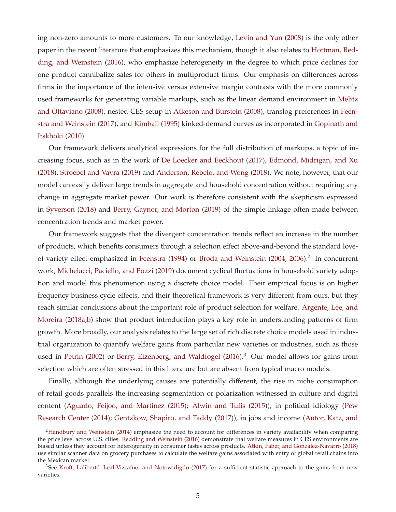ing non-zero amounts to more customers. To our knowledge, Levin and Yun (2008) is the only other paper in the recent literature that emphasizes this mechanism, though it also relates to Hottman, Redding, and Weinstein (2016), who emphasize heterogeneity in the degree to which price declines for one product cannibalize sales for others in multiproduct firms. Our emphasis on differences across firms in the importance of the intensive versus extensive margin contrasts with the more commonly used frameworks for generating variable markups, such as the linear demand environment in Melitz and Ottaviano (2008), nested-CES setup in Atkeson and Burstein (2008), translog preferences in Feenstra and Weinstein (2017), and Kimball (1995) kinked-demand curves as incorporated in Gopinath and Itskhoki (2010).

Our framework delivers analytical expressions for the full distribution of markups, a topic of increasing focus, such as in the work of De Loecker and Eeckhout (2017), Edmond, Midrigan, and Xu (2018), Stroebel and Vavra (2019) and Anderson, Rebelo, and Wong (2018). We note, however, that our model can easily deliver large trends in aggregate and household concentration without requiring any change in aggregate market power. Our work is therefore consistent with the skepticism expressed in Syverson (2018) and Berry, Gaynor, and Morton (2019) of the simple linkage often made between concentration trends and market power.

Our framework suggests that the divergent concentration trends reflect an increase in the number of products, which benefits consumers through a selection effect above-and-beyond the standard loveof-variety effect emphasized in Feenstra (1994) or Broda and Weinstein (2004, 2006).<sup>2</sup> In concurrent work, Michelacci, Paciello, and Pozzi (2019) document cyclical fluctuations in household variety adoption and model this phenomenon using a discrete choice model. Their empirical focus is on higher frequency business cycle effects, and their theoretical framework is very different from ours, but they reach similar conclusions about the important role of product selection for welfare. Argente, Lee, and Moreira (2018a,b) show that product introduction plays a key role in understanding patterns of firm growth. More broadly, our analysis relates to the large set of rich discrete choice models used in industrial organization to quantify welfare gains from particular new varieties or industries, such as those used in Petrin (2002) or Berry, Eizenberg, and Waldfogel (2016).<sup>3</sup> Our model allows for gains from selection which are often stressed in this literature but are absent from typical macro models.

Finally, although the underlying causes are potentially different, the rise in niche consumption of retail goods parallels the increasing segmentation or polarization witnessed in culture and digital content (Aguado, Feijoo, and Martinez (2015); Alwin and Tufis (2015)), in political idiology (Pew Research Center (2014); Gentzkow, Shapiro, and Taddy (2017)), in jobs and income (Autor, Katz, and

<sup>&</sup>lt;sup>2</sup>Handbury and Weinstein (2014) emphasize the need to account for differences in variety availability when comparing the price level across U.S. cities. Redding and Weinstein (2016) demonstrate that welfare measures in CES environments are biased unless they account for heterogeneity in consumer tastes across products. Atkin, Faber, and Gonzalez-Navarro (2018) use similar scanner data on grocery purchases to calculate the welfare gains associated with entry of global retail chains into the Mexican market.

<sup>&</sup>lt;sup>3</sup>See Kroft, Laliberté, Leal-Vizcaíno, and Notowidigdo (2017) for a sufficient statistic approach to the gains from new varieties.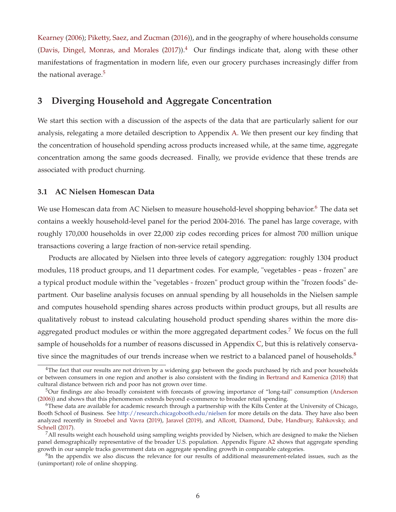Kearney (2006); Piketty, Saez, and Zucman (2016)), and in the geography of where households consume (Davis, Dingel, Monras, and Morales  $(2017)$ ).<sup>4</sup> Our findings indicate that, along with these other manifestations of fragmentation in modern life, even our grocery purchases increasingly differ from the national average.<sup>5</sup>

# **3 Diverging Household and Aggregate Concentration**

We start this section with a discussion of the aspects of the data that are particularly salient for our analysis, relegating a more detailed description to Appendix A. We then present our key finding that the concentration of household spending across products increased while, at the same time, aggregate concentration among the same goods decreased. Finally, we provide evidence that these trends are associated with product churning.

## **3.1 AC Nielsen Homescan Data**

We use Homescan data from AC Nielsen to measure household-level shopping behavior.<sup>6</sup> The data set contains a weekly household-level panel for the period 2004-2016. The panel has large coverage, with roughly 170,000 households in over 22,000 zip codes recording prices for almost 700 million unique transactions covering a large fraction of non-service retail spending.

Products are allocated by Nielsen into three levels of category aggregation: roughly 1304 product modules, 118 product groups, and 11 department codes. For example, "vegetables - peas - frozen" are a typical product module within the "vegetables - frozen" product group within the "frozen foods" department. Our baseline analysis focuses on annual spending by all households in the Nielsen sample and computes household spending shares across products within product groups, but all results are qualitatively robust to instead calculating household product spending shares within the more disaggregated product modules or within the more aggregated department codes.<sup>7</sup> We focus on the full sample of households for a number of reasons discussed in Appendix C, but this is relatively conservative since the magnitudes of our trends increase when we restrict to a balanced panel of households. $8$ 

<sup>&</sup>lt;sup>4</sup>The fact that our results are not driven by a widening gap between the goods purchased by rich and poor households or between consumers in one region and another is also consistent with the finding in Bertrand and Kamenica (2018) that cultural distance between rich and poor has not grown over time.

<sup>5</sup>Our findings are also broadly consistent with forecasts of growing importance of "long-tail" consumption (Anderson (2006)) and shows that this phenomenon extends beyond e-commerce to broader retail spending.

 $6$ These data are available for academic research through a partnership with the Kilts Center at the University of Chicago, Booth School of Business. See http://research.chicagobooth.edu/nielsen for more details on the data. They have also been analyzed recently in Stroebel and Vavra (2019), Jaravel (2019), and Allcott, Diamond, Dube, Handbury, Rahkovsky, and Schnell (2017).

<sup>7</sup>All results weight each household using sampling weights provided by Nielsen, which are designed to make the Nielsen panel demographically representative of the broader U.S. population. Appendix Figure A2 shows that aggregate spending growth in our sample tracks government data on aggregate spending growth in comparable categories.

 ${}^{8}$ In the appendix we also discuss the relevance for our results of additional measurement-related issues, such as the (unimportant) role of online shopping.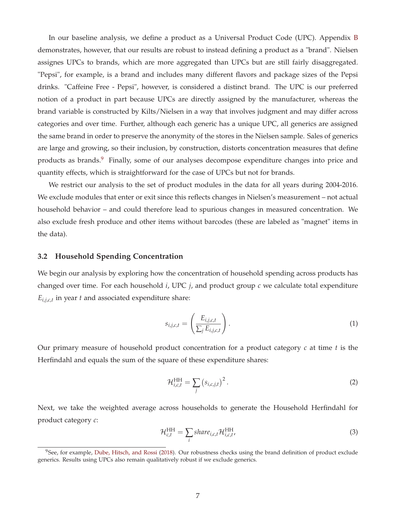In our baseline analysis, we define a product as a Universal Product Code (UPC). Appendix B demonstrates, however, that our results are robust to instead defining a product as a "brand". Nielsen assignes UPCs to brands, which are more aggregated than UPCs but are still fairly disaggregated. "Pepsi", for example, is a brand and includes many different flavors and package sizes of the Pepsi drinks. "Caffeine Free - Pepsi", however, is considered a distinct brand. The UPC is our preferred notion of a product in part because UPCs are directly assigned by the manufacturer, whereas the brand variable is constructed by Kilts/Nielsen in a way that involves judgment and may differ across categories and over time. Further, although each generic has a unique UPC, all generics are assigned the same brand in order to preserve the anonymity of the stores in the Nielsen sample. Sales of generics are large and growing, so their inclusion, by construction, distorts concentration measures that define products as brands.<sup>9</sup> Finally, some of our analyses decompose expenditure changes into price and quantity effects, which is straightforward for the case of UPCs but not for brands.

We restrict our analysis to the set of product modules in the data for all years during 2004-2016. We exclude modules that enter or exit since this reflects changes in Nielsen's measurement – not actual household behavior – and could therefore lead to spurious changes in measured concentration. We also exclude fresh produce and other items without barcodes (these are labeled as "magnet" items in the data).

### **3.2 Household Spending Concentration**

We begin our analysis by exploring how the concentration of household spending across products has changed over time. For each household *i*, UPC *j*, and product group *c* we calculate total expenditure  $E_{i,j,c,t}$  in year *t* and associated expenditure share:

$$
s_{i,j,c,t} = \left(\frac{E_{i,j,c,t}}{\sum_j E_{i,j,c,t}}\right).
$$
 (1)

Our primary measure of household product concentration for a product category *c* at time *t* is the Herfindahl and equals the sum of the square of these expenditure shares:

$$
\mathcal{H}_{i,c,t}^{\text{HH}} = \sum_{j} \left( s_{i,c,j,t} \right)^2.
$$
 (2)

Next, we take the weighted average across households to generate the Household Herfindahl for product category *c*:

$$
\mathcal{H}_{c,t}^{\text{HH}} = \sum_{i} share_{i,c,t} \mathcal{H}_{i,c,t}^{\text{HH}},\tag{3}
$$

 $9$ See, for example, Dube, Hitsch, and Rossi (2018). Our robustness checks using the brand definition of product exclude generics. Results using UPCs also remain qualitatively robust if we exclude generics.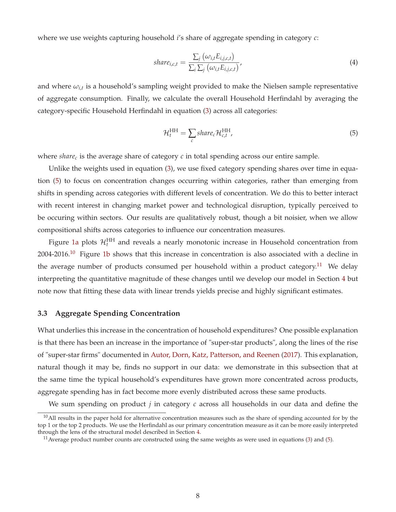where we use weights capturing household *i*'s share of aggregate spending in category *c*:

$$
share_{i,c,t} = \frac{\sum_{j} (\omega_{i,t} E_{i,j,c,t})}{\sum_{i} \sum_{j} (\omega_{i,t} E_{i,j,c,t})'},
$$
\n(4)

and where  $\omega_{i,t}$  is a household's sampling weight provided to make the Nielsen sample representative of aggregate consumption. Finally, we calculate the overall Household Herfindahl by averaging the category-specific Household Herfindahl in equation (3) across all categories:

$$
\mathcal{H}_t^{\text{HH}} = \sum_c share_c \mathcal{H}_{c,t}^{\text{HH}},\tag{5}
$$

where *share<sub>c</sub>* is the average share of category *c* in total spending across our entire sample.

Unlike the weights used in equation (3), we use fixed category spending shares over time in equation (5) to focus on concentration changes occurring within categories, rather than emerging from shifts in spending across categories with different levels of concentration. We do this to better interact with recent interest in changing market power and technological disruption, typically perceived to be occuring within sectors. Our results are qualitatively robust, though a bit noisier, when we allow compositional shifts across categories to influence our concentration measures.

Figure 1a plots  $\mathcal{H}_t^{\rm HH}$  and reveals a nearly monotonic increase in Household concentration from  $2004-2016$ .<sup>10</sup> Figure 1b shows that this increase in concentration is also associated with a decline in the average number of products consumed per household within a product category.<sup>11</sup> We delay interpreting the quantitative magnitude of these changes until we develop our model in Section 4 but note now that fitting these data with linear trends yields precise and highly significant estimates.

#### **3.3 Aggregate Spending Concentration**

What underlies this increase in the concentration of household expenditures? One possible explanation is that there has been an increase in the importance of "super-star products", along the lines of the rise of "super-star firms" documented in Autor, Dorn, Katz, Patterson, and Reenen (2017). This explanation, natural though it may be, finds no support in our data: we demonstrate in this subsection that at the same time the typical household's expenditures have grown more concentrated across products, aggregate spending has in fact become more evenly distributed across these same products.

We sum spending on product *j* in category *c* across all households in our data and define the

 $10$ All results in the paper hold for alternative concentration measures such as the share of spending accounted for by the top 1 or the top 2 products. We use the Herfindahl as our primary concentration measure as it can be more easily interpreted through the lens of the structural model described in Section 4.

 $11$  Average product number counts are constructed using the same weights as were used in equations (3) and (5).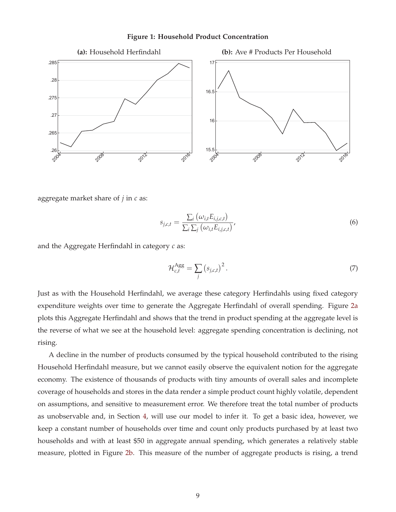

### **Figure 1: Household Product Concentration**

aggregate market share of *j* in *c* as:

$$
s_{j,c,t} = \frac{\sum_{i} (\omega_{i,t} E_{i,j,c,t})}{\sum_{i} \sum_{j} (\omega_{i,t} E_{i,j,c,t})},
$$
(6)

and the Aggregate Herfindahl in category *c* as:

$$
\mathcal{H}_{c,t}^{\text{Agg}} = \sum_{j} \left( s_{j,c,t} \right)^2. \tag{7}
$$

Just as with the Household Herfindahl, we average these category Herfindahls using fixed category expenditure weights over time to generate the Aggregate Herfindahl of overall spending. Figure 2a plots this Aggregate Herfindahl and shows that the trend in product spending at the aggregate level is the reverse of what we see at the household level: aggregate spending concentration is declining, not rising.

A decline in the number of products consumed by the typical household contributed to the rising Household Herfindahl measure, but we cannot easily observe the equivalent notion for the aggregate economy. The existence of thousands of products with tiny amounts of overall sales and incomplete coverage of households and stores in the data render a simple product count highly volatile, dependent on assumptions, and sensitive to measurement error. We therefore treat the total number of products as unobservable and, in Section 4, will use our model to infer it. To get a basic idea, however, we keep a constant number of households over time and count only products purchased by at least two households and with at least \$50 in aggregate annual spending, which generates a relatively stable measure, plotted in Figure 2b. This measure of the number of aggregate products is rising, a trend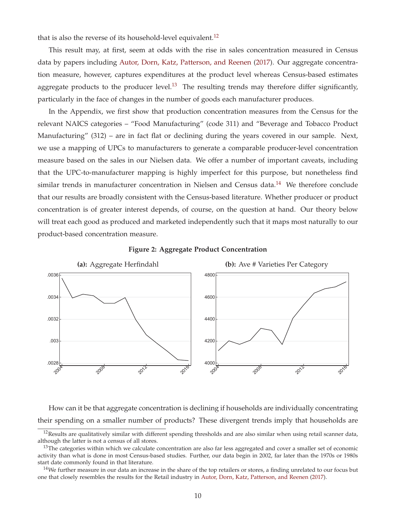that is also the reverse of its household-level equivalent.<sup>12</sup>

This result may, at first, seem at odds with the rise in sales concentration measured in Census data by papers including Autor, Dorn, Katz, Patterson, and Reenen (2017). Our aggregate concentration measure, however, captures expenditures at the product level whereas Census-based estimates aggregate products to the producer level.<sup>13</sup> The resulting trends may therefore differ significantly, particularly in the face of changes in the number of goods each manufacturer produces.

In the Appendix, we first show that production concentration measures from the Census for the relevant NAICS categories – "Food Manufacturing" (code 311) and "Beverage and Tobacco Product Manufacturing" (312) – are in fact flat or declining during the years covered in our sample. Next, we use a mapping of UPCs to manufacturers to generate a comparable producer-level concentration measure based on the sales in our Nielsen data. We offer a number of important caveats, including that the UPC-to-manufacturer mapping is highly imperfect for this purpose, but nonetheless find similar trends in manufacturer concentration in Nielsen and Census data.<sup>14</sup> We therefore conclude that our results are broadly consistent with the Census-based literature. Whether producer or product concentration is of greater interest depends, of course, on the question at hand. Our theory below will treat each good as produced and marketed independently such that it maps most naturally to our product-based concentration measure.





How can it be that aggregate concentration is declining if households are individually concentrating their spending on a smaller number of products? These divergent trends imply that households are

 $12$ Results are qualitatively similar with different spending thresholds and are also similar when using retail scanner data, although the latter is not a census of all stores.

 $13$ The categories within which we calculate concentration are also far less aggregated and cover a smaller set of economic activity than what is done in most Census-based studies. Further, our data begin in 2002, far later than the 1970s or 1980s start date commonly found in that literature.

 $14$ We further measure in our data an increase in the share of the top retailers or stores, a finding unrelated to our focus but one that closely resembles the results for the Retail industry in Autor, Dorn, Katz, Patterson, and Reenen (2017).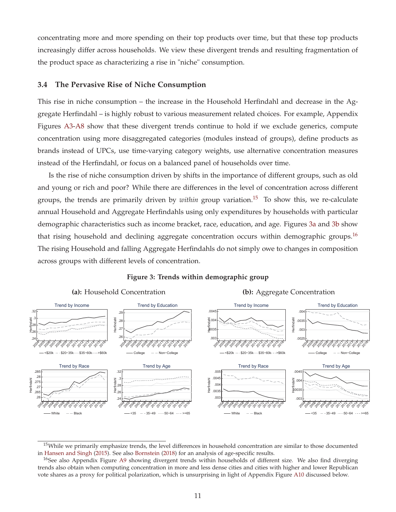concentrating more and more spending on their top products over time, but that these top products increasingly differ across households. We view these divergent trends and resulting fragmentation of the product space as characterizing a rise in "niche" consumption.

### **3.4 The Pervasive Rise of Niche Consumption**

This rise in niche consumption – the increase in the Household Herfindahl and decrease in the Aggregate Herfindahl – is highly robust to various measurement related choices. For example, Appendix Figures A3-A8 show that these divergent trends continue to hold if we exclude generics, compute concentration using more disaggregated categories (modules instead of groups), define products as brands instead of UPCs, use time-varying category weights, use alternative concentration measures instead of the Herfindahl, or focus on a balanced panel of households over time.

Is the rise of niche consumption driven by shifts in the importance of different groups, such as old and young or rich and poor? While there are differences in the level of concentration across different groups, the trends are primarily driven by *within* group variation.<sup>15</sup> To show this, we re-calculate annual Household and Aggregate Herfindahls using only expenditures by households with particular demographic characteristics such as income bracket, race, education, and age. Figures 3a and 3b show that rising household and declining aggregate concentration occurs within demographic groups.<sup>16</sup> The rising Household and falling Aggregate Herfindahls do not simply owe to changes in composition across groups with different levels of concentration.



#### **Figure 3: Trends within demographic group**

 $15$ While we primarily emphasize trends, the level differences in household concentration are similar to those documented in Hansen and Singh (2015). See also Bornstein (2018) for an analysis of age-specific results.

<sup>&</sup>lt;sup>16</sup>See also Appendix Figure A9 showing divergent trends within households of different size. We also find diverging trends also obtain when computing concentration in more and less dense cities and cities with higher and lower Republican vote shares as a proxy for political polarization, which is unsurprising in light of Appendix Figure A10 discussed below.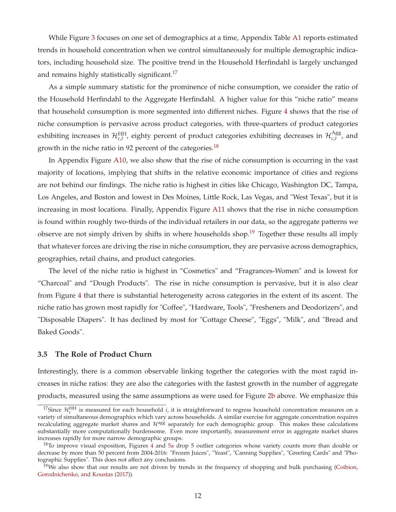While Figure 3 focuses on one set of demographics at a time, Appendix Table A1 reports estimated trends in household concentration when we control simultaneously for multiple demographic indicators, including household size. The positive trend in the Household Herfindahl is largely unchanged and remains highly statistically significant.<sup>17</sup>

As a simple summary statistic for the prominence of niche consumption, we consider the ratio of the Household Herfindahl to the Aggregate Herfindahl. A higher value for this "niche ratio" means that household consumption is more segmented into different niches. Figure 4 shows that the rise of niche consumption is pervasive across product categories, with three-quarters of product categories exhibiting increases in  $\mathcal{H}_{c,t}^{\rm HH}$ , eighty percent of product categories exhibiting decreases in  $\mathcal{H}_{c,t}^{\rm Agg}$ , and growth in the niche ratio in 92 percent of the categories.<sup>18</sup>

In Appendix Figure A10, we also show that the rise of niche consumption is occurring in the vast majority of locations, implying that shifts in the relative economic importance of cities and regions are not behind our findings. The niche ratio is highest in cities like Chicago, Washington DC, Tampa, Los Angeles, and Boston and lowest in Des Moines, Little Rock, Las Vegas, and "West Texas", but it is increasing in most locations. Finally, Appendix Figure A11 shows that the rise in niche consumption is found within roughly two-thirds of the individual retailers in our data, so the aggregate patterns we observe are not simply driven by shifts in where households shop.<sup>19</sup> Together these results all imply that whatever forces are driving the rise in niche consumption, they are pervasive across demographics, geographies, retail chains, and product categories.

The level of the niche ratio is highest in "Cosmetics" and "Fragrances-Women" and is lowest for "Charcoal" and "Dough Products". The rise in niche consumption is pervasive, but it is also clear from Figure 4 that there is substantial heterogeneity across categories in the extent of its ascent. The niche ratio has grown most rapidly for "Coffee", "Hardware, Tools", "Fresheners and Deodorizers", and "Disposable Diapers". It has declined by most for "Cottage Cheese", "Eggs", "Milk", and "Bread and Baked Goods".

### **3.5 The Role of Product Churn**

Interestingly, there is a common observable linking together the categories with the most rapid increases in niche ratios: they are also the categories with the fastest growth in the number of aggregate products, measured using the same assumptions as were used for Figure 2b above. We emphasize this

<sup>&</sup>lt;sup>17</sup>Since  $\mathcal{H}_i^{\text{HH}}$  is measured for each household *i*, it is straightforward to regress household concentration measures on a variety of simultaneous demographics which vary across households. A similar exercise for aggregate concentration requires recalculating aggregate market shares and  $H^{agg}$  separately for each demographic group. This makes these calculations substantially more computationally burdensome. Even more importantly, measurement error in aggregate market shares increases rapidly for more narrow demographic groups.

<sup>&</sup>lt;sup>18</sup>To improve visual exposition, Figures 4 and 5a drop 5 outlier categories whose variety counts more than double or decrease by more than 50 percent from 2004-2016: "Frozen Juices", "Yeast", "Canning Supplies", "Greeting Cards" and "Photographic Supplies". This does not affect any conclusions.

 $19$ We also show that our results are not driven by trends in the frequency of shopping and bulk purchasing (Coibion, Gorodnichenko, and Koustas (2017)).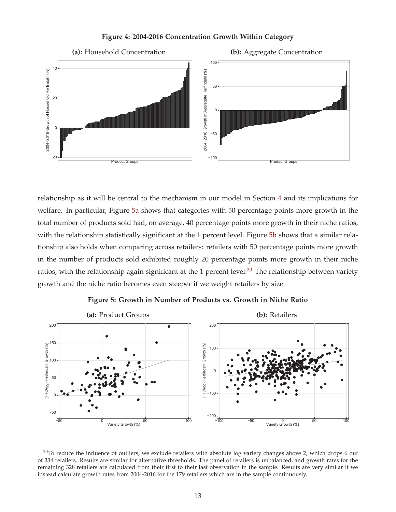## **Figure 4: 2004-2016 Concentration Growth Within Category**



relationship as it will be central to the mechanism in our model in Section 4 and its implications for welfare. In particular, Figure 5a shows that categories with 50 percentage points more growth in the total number of products sold had, on average, 40 percentage points more growth in their niche ratios, with the relationship statistically significant at the 1 percent level. Figure 5b shows that a similar relationship also holds when comparing across retailers: retailers with 50 percentage points more growth in the number of products sold exhibited roughly 20 percentage points more growth in their niche ratios, with the relationship again significant at the 1 percent level.<sup>20</sup> The relationship between variety growth and the niche ratio becomes even steeper if we weight retailers by size.



**Figure 5: Growth in Number of Products vs. Growth in Niche Ratio**

<sup>&</sup>lt;sup>20</sup>To reduce the influence of outliers, we exclude retailers with absolute log variety changes above 2, which drops 6 out of 334 retailers. Results are similar for alternative thresholds. The panel of retailers is unbalanced, and growth rates for the remaining 328 retailers are calculated from their first to their last observation in the sample. Results are very similar if we instead calculate growth rates from 2004-2016 for the 179 retailers which are in the sample continuously.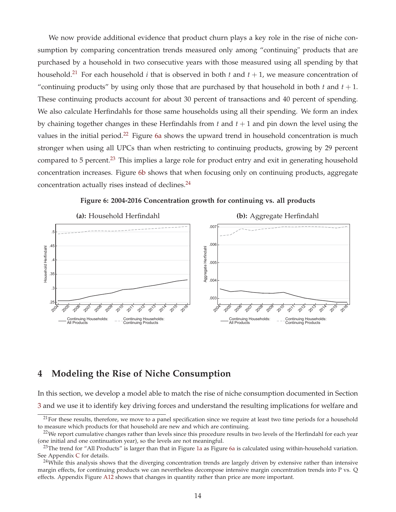We now provide additional evidence that product churn plays a key role in the rise of niche consumption by comparing concentration trends measured only among "continuing" products that are purchased by a household in two consecutive years with those measured using all spending by that household.<sup>21</sup> For each household *i* that is observed in both *t* and  $t + 1$ , we measure concentration of "continuing products" by using only those that are purchased by that household in both  $t$  and  $t + 1$ . These continuing products account for about 30 percent of transactions and 40 percent of spending. We also calculate Herfindahls for those same households using all their spending. We form an index by chaining together changes in these Herfindahls from *t* and *t* + 1 and pin down the level using the values in the initial period.<sup>22</sup> Figure 6a shows the upward trend in household concentration is much stronger when using all UPCs than when restricting to continuing products, growing by 29 percent compared to 5 percent.<sup>23</sup> This implies a large role for product entry and exit in generating household concentration increases. Figure 6b shows that when focusing only on continuing products, aggregate concentration actually rises instead of declines.<sup>24</sup>





# **4 Modeling the Rise of Niche Consumption**

In this section, we develop a model able to match the rise of niche consumption documented in Section 3 and we use it to identify key driving forces and understand the resulting implications for welfare and

 $21$ For these results, therefore, we move to a panel specification since we require at least two time periods for a household to measure which products for that household are new and which are continuing.

 $22$ We report cumulative changes rather than levels since this procedure results in two levels of the Herfindahl for each year (one initial and one continuation year), so the levels are not meaningful.

 $^{23}$ The trend for "All Products" is larger than that in Figure 1a as Figure 6a is calculated using within-household variation. See Appendix C for details.

 $24$ While this analysis shows that the diverging concentration trends are largely driven by extensive rather than intensive margin effects, for continuing products we can nevertheless decompose intensive margin concentration trends into P vs. Q effects. Appendix Figure A12 shows that changes in quantity rather than price are more important.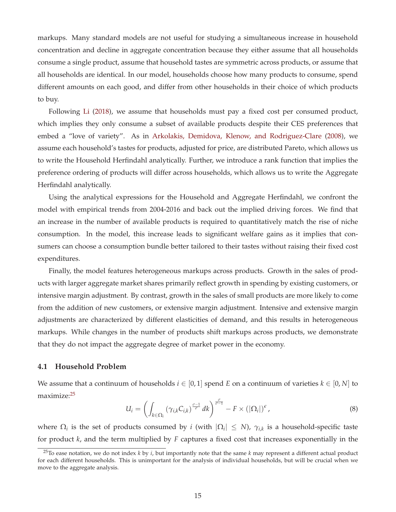markups. Many standard models are not useful for studying a simultaneous increase in household concentration and decline in aggregate concentration because they either assume that all households consume a single product, assume that household tastes are symmetric across products, or assume that all households are identical. In our model, households choose how many products to consume, spend different amounts on each good, and differ from other households in their choice of which products to buy.

Following Li (2018), we assume that households must pay a fixed cost per consumed product, which implies they only consume a subset of available products despite their CES preferences that embed a "love of variety". As in Arkolakis, Demidova, Klenow, and Rodriguez-Clare (2008), we assume each household's tastes for products, adjusted for price, are distributed Pareto, which allows us to write the Household Herfindahl analytically. Further, we introduce a rank function that implies the preference ordering of products will differ across households, which allows us to write the Aggregate Herfindahl analytically.

Using the analytical expressions for the Household and Aggregate Herfindahl, we confront the model with empirical trends from 2004-2016 and back out the implied driving forces. We find that an increase in the number of available products is required to quantitatively match the rise of niche consumption. In the model, this increase leads to significant welfare gains as it implies that consumers can choose a consumption bundle better tailored to their tastes without raising their fixed cost expenditures.

Finally, the model features heterogeneous markups across products. Growth in the sales of products with larger aggregate market shares primarily reflect growth in spending by existing customers, or intensive margin adjustment. By contrast, growth in the sales of small products are more likely to come from the addition of new customers, or extensive margin adjustment. Intensive and extensive margin adjustments are characterized by different elasticities of demand, and this results in heterogeneous markups. While changes in the number of products shift markups across products, we demonstrate that they do not impact the aggregate degree of market power in the economy.

### **4.1 Household Problem**

We assume that a continuum of households  $i \in [0,1]$  spend *E* on a continuum of varieties  $k \in [0,N]$  to maximize:25

$$
U_i = \left( \int_{k \in \Omega_i} \left( \gamma_{i,k} C_{i,k} \right)^{\frac{\sigma-1}{\sigma}} dk \right)^{\frac{\sigma}{\sigma-1}} - F \times \left( |\Omega_i| \right)^{\epsilon}, \tag{8}
$$

where  $\Omega_i$  is the set of products consumed by *i* (with  $|\Omega_i| \leq N$ ),  $\gamma_{i,k}$  is a household-specific taste for product *k*, and the term multiplied by *F* captures a fixed cost that increases exponentially in the

<sup>25</sup>To ease notation, we do not index *k* by *i*, but importantly note that the same *k* may represent a different actual product for each different households. This is unimportant for the analysis of individual households, but will be crucial when we move to the aggregate analysis.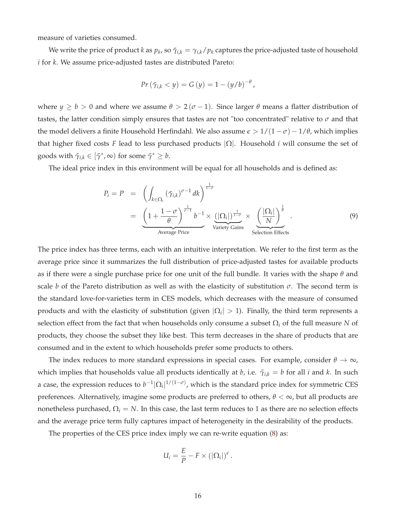measure of varieties consumed.

We write the price of product *k* as  $p_k$ , so  $\tilde{\gamma}_{i,k} = \gamma_{i,k}/p_k$  captures the price-adjusted taste of household *i* for *k*. We assume price-adjusted tastes are distributed Pareto:

$$
Pr\left(\tilde{\gamma}_{i,k} < y\right) = G\left(y\right) = 1 - \left(y/b\right)^{-\theta},
$$

where  $y \ge b > 0$  and where we assume  $\theta > 2(\sigma - 1)$ . Since larger  $\theta$  means a flatter distribution of tastes, the latter condition simply ensures that tastes are not "too concentrated" relative to *σ* and that the model delivers a finite Household Herfindahl. We also assume  $\epsilon > 1/(1 - \sigma) - 1/\theta$ , which implies that higher fixed costs *F* lead to less purchased products |Ω|. Household *i* will consume the set of goods with  $\tilde{\gamma}_{i,k} \in [\tilde{\gamma}^*, \infty)$  for some  $\tilde{\gamma}^* \geq b$ .

The ideal price index in this environment will be equal for all households and is defined as:

$$
P_i = P = \left( \int_{k \in \Omega_i} (\tilde{\gamma}_{i,k})^{\sigma - 1} dk \right)^{\frac{1}{1 - \sigma}}
$$
  
= 
$$
\underbrace{\left( 1 + \frac{1 - \sigma}{\theta} \right)^{\frac{1}{\sigma - 1}} b^{-1}}_{\text{Average Price}} \times \underbrace{\left( |\Omega_i| \right)^{\frac{1}{1 - \sigma}}}_{\text{Variety Gains}} \times \underbrace{\left( \frac{|\Omega_i|}{N} \right)^{\frac{1}{\theta}}}_{\text{Selection Effects}}.
$$
 (9)

The price index has three terms, each with an intuitive interpretation. We refer to the first term as the average price since it summarizes the full distribution of price-adjusted tastes for available products as if there were a single purchase price for one unit of the full bundle. It varies with the shape *θ* and scale *b* of the Pareto distribution as well as with the elasticity of substitution  $\sigma$ . The second term is the standard love-for-varieties term in CES models, which decreases with the measure of consumed products and with the elasticity of substitution (given  $|\Omega_i| > 1$ ). Finally, the third term represents a selection effect from the fact that when households only consume a subset Ω*<sup>i</sup>* of the full measure *N* of products, they choose the subset they like best. This term decreases in the share of products that are consumed and in the extent to which households prefer some products to others.

The index reduces to more standard expressions in special cases. For example, consider  $\theta \to \infty$ , which implies that households value all products identically at *b*, i.e.  $\tilde{\gamma}_{i,k} = b$  for all *i* and *k*. In such a case, the expression reduces to  $b^{-1}|\Omega_i|^{1/(1-\sigma)}$ , which is the standard price index for symmetric CES preferences. Alternatively, imagine some products are preferred to others, *θ* < ∞, but all products are nonetheless purchased,  $Ω<sub>i</sub> = N$ . In this case, the last term reduces to 1 as there are no selection effects and the average price term fully captures impact of heterogeneity in the desirability of the products.

The properties of the CES price index imply we can re-write equation (8) as:

$$
U_i = \frac{E}{P} - F \times (\vert \Omega_i \vert)^{\epsilon}.
$$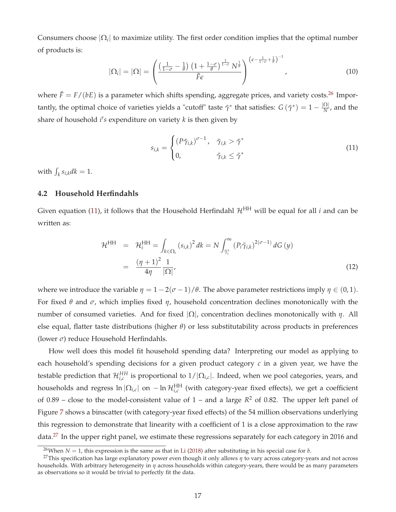Consumers choose  $|\Omega_i|$  to maximize utility. The first order condition implies that the optimal number of products is:

$$
|\Omega_i| = |\Omega| = \left(\frac{\left(\frac{1}{1-\sigma} - \frac{1}{\theta}\right)\left(1 + \frac{1-\sigma}{\theta}\right)^{\frac{1}{1-\sigma}}N^{\frac{1}{\theta}}}{\tilde{F}\epsilon}\right)^{\left(\epsilon - \frac{1}{1-\sigma} + \frac{1}{\theta}\right)^{-1}},\tag{10}
$$

where  $\tilde{F} = F/(bE)$  is a parameter which shifts spending, aggregate prices, and variety costs.<sup>26</sup> Importantly, the optimal choice of varieties yields a "cutoff" taste  $\tilde{\gamma}^*$  that satisfies:  $G(\tilde{\gamma}^*) = 1 - \frac{|\Omega|}{N}$ , and the share of household *i's* expenditure on variety *k* is then given by

$$
s_{i,k} = \begin{cases} (P\tilde{\gamma}_{i,k})^{\sigma-1}, & \tilde{\gamma}_{i,k} > \tilde{\gamma}^* \\ 0, & \tilde{\gamma}_{i,k} \le \tilde{\gamma}^* \end{cases}
$$
(11)

with  $\int_k s_{i,k} dk = 1$ .

## **4.2 Household Herfindahls**

Given equation (11), it follows that the Household Herfindahl  $\mathcal{H}^{\rm HH}$  will be equal for all *i* and can be written as:

$$
\mathcal{H}^{\text{HH}} = \mathcal{H}_i^{\text{HH}} = \int_{k \in \Omega_i} (s_{i,k})^2 dk = N \int_{\tilde{\gamma}_i^*}^{\infty} (P_i \tilde{\gamma}_{i,k})^{2(\sigma - 1)} dG(y)
$$

$$
= \frac{(\eta + 1)^2}{4\eta} \frac{1}{|\Omega|}, \tag{12}
$$

where we introduce the variable  $\eta = 1 - 2(\sigma - 1)/\theta$ . The above parameter restrictions imply  $\eta \in (0, 1)$ . For fixed *θ* and *σ*, which implies fixed *η*, household concentration declines monotonically with the number of consumed varieties. And for fixed |Ω|, concentration declines monotonically with *η*. All else equal, flatter taste distributions (higher *θ*) or less substitutability across products in preferences (lower *σ*) reduce Household Herfindahls.

How well does this model fit household spending data? Interpreting our model as applying to each household's spending decisions for a given product category *c* in a given year, we have the testable prediction that  $\mathcal{H}^{HH}_{i,c}$  is proportional to  $1/|\Omega_{i,c}|$ . Indeed, when we pool categories, years, and households and regress  $\ln |\Omega_{i,c}|$  on  $-\ln {\cal H}_{i,c}^{\rm HH}$  (with category-year fixed effects), we get a coefficient of 0.89 – close to the model-consistent value of  $1$  – and a large  $R^2$  of 0.82. The upper left panel of Figure 7 shows a binscatter (with category-year fixed effects) of the 54 million observations underlying this regression to demonstrate that linearity with a coefficient of 1 is a close approximation to the raw data.<sup>27</sup> In the upper right panel, we estimate these regressions separately for each category in 2016 and

<sup>&</sup>lt;sup>26</sup>When *N* = 1, this expression is the same as that in Li (2018) after substituting in his special case for *b*.

<sup>27</sup>This specification has large explanatory power even though it only allows *η* to vary across category-years and not across households. With arbitrary heterogeneity in *η* across households within category-years, there would be as many parameters as observations so it would be trivial to perfectly fit the data.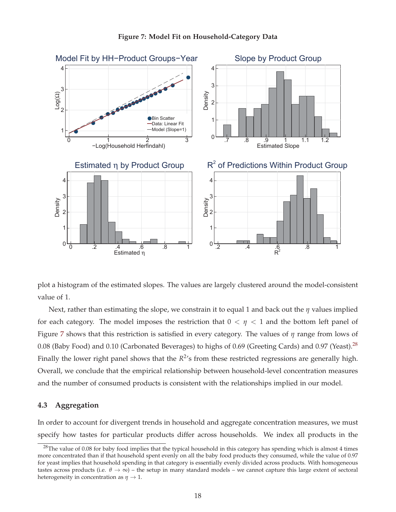

### **Figure 7: Model Fit on Household-Category Data**

plot a histogram of the estimated slopes. The values are largely clustered around the model-consistent value of 1.

Next, rather than estimating the slope, we constrain it to equal 1 and back out the *η* values implied for each category. The model imposes the restriction that  $0 < \eta < 1$  and the bottom left panel of Figure 7 shows that this restriction is satisfied in every category. The values of *η* range from lows of 0.08 (Baby Food) and 0.10 (Carbonated Beverages) to highs of 0.69 (Greeting Cards) and 0.97 (Yeast).<sup>28</sup> Finally the lower right panel shows that the  $R^2$ 's from these restricted regressions are generally high. Overall, we conclude that the empirical relationship between household-level concentration measures and the number of consumed products is consistent with the relationships implied in our model.

## **4.3 Aggregation**

In order to account for divergent trends in household and aggregate concentration measures, we must specify how tastes for particular products differ across households. We index all products in the

<sup>&</sup>lt;sup>28</sup>The value of 0.08 for baby food implies that the typical household in this category has spending which is almost 4 times more concentrated than if that household spent evenly on all the baby food products they consumed, while the value of 0.97 for yeast implies that household spending in that category is essentially evenly divided across products. With homogeneous tastes across products (i.e.  $\theta \to \infty$ ) – the setup in many standard models – we cannot capture this large extent of sectoral heterogeneity in concentration as  $\eta \rightarrow 1$ .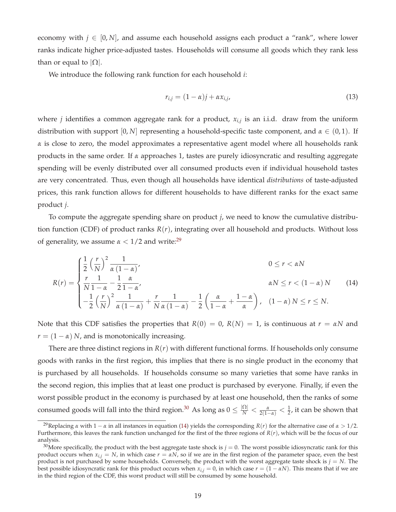economy with  $j \in [0, N]$ , and assume each household assigns each product a "rank", where lower ranks indicate higher price-adjusted tastes. Households will consume all goods which they rank less than or equal to  $|\Omega|$ .

We introduce the following rank function for each household *i*:

$$
r_{i,j} = (1 - \alpha)j + \alpha x_{i,j},\tag{13}
$$

where *j* identifies a common aggregate rank for a product, *xi*,*<sup>j</sup>* is an i.i.d. draw from the uniform distribution with support  $[0, N]$  representing a household-specific taste component, and  $\alpha \in (0, 1)$ . If *α* is close to zero, the model approximates a representative agent model where all households rank products in the same order. If *α* approaches 1, tastes are purely idiosyncratic and resulting aggregate spending will be evenly distributed over all consumed products even if individual household tastes are very concentrated. Thus, even though all households have identical *distributions* of taste-adjusted prices, this rank function allows for different households to have different ranks for the exact same product *j*.

To compute the aggregate spending share on product *j*, we need to know the cumulative distribution function (CDF) of product ranks *R*(*r*), integrating over all household and products. Without loss of generality, we assume  $\alpha < 1/2$  and write:<sup>29</sup>

$$
R(r) = \begin{cases} \frac{1}{2} \left(\frac{r}{N}\right)^2 \frac{1}{\alpha (1-\alpha)}, & 0 \le r < \alpha N \\ \frac{r}{N} \frac{1}{1-\alpha} - \frac{1}{2} \frac{\alpha}{1-\alpha}, & \alpha N \le r < (1-\alpha) N \\ -\frac{1}{2} \left(\frac{r}{N}\right)^2 \frac{1}{\alpha (1-\alpha)} + \frac{r}{N} \frac{1}{\alpha (1-\alpha)} - \frac{1}{2} \left(\frac{\alpha}{1-\alpha} + \frac{1-\alpha}{\alpha}\right), & (1-\alpha) N \le r \le N. \end{cases}
$$
(14)

Note that this CDF satisfies the properties that  $R(0) = 0$ ,  $R(N) = 1$ , is continuous at  $r = \alpha N$  and  $r = (1 - \alpha) N$ , and is monotonically increasing.

There are three distinct regions in  $R(r)$  with different functional forms. If households only consume goods with ranks in the first region, this implies that there is no single product in the economy that is purchased by all households. If households consume so many varieties that some have ranks in the second region, this implies that at least one product is purchased by everyone. Finally, if even the worst possible product in the economy is purchased by at least one household, then the ranks of some consumed goods will fall into the third region.<sup>30</sup> As long as  $0 \leq \frac{|\Omega|}{N} < \frac{\alpha}{2(1-\alpha)} < \frac{1}{2}$ , it can be shown that

<sup>&</sup>lt;sup>29</sup>Replacing *α* with  $1 - \alpha$  in all instances in equation (14) yields the corresponding *R(r)* for the alternative case of  $\alpha > 1/2$ . Furthermore, this leaves the rank function unchanged for the first of the three regions of *R*(*r*), which will be the focus of our analysis.

 $30$ More specifically, the product with the best aggregate taste shock is  $j = 0$ . The worst possible idiosyncratic rank for this product occurs when  $x_{i,j} = N$ , in which case  $r = \alpha N$ , so if we are in the first region of the parameter space, even the best product is not purchased by some households. Conversely, the product with the worst aggregate taste shock is  $j = N$ . The best possible idiosyncratic rank for this product occurs when  $x_{i,j} = 0$ , in which case  $r = (1 - \alpha N)$ . This means that if we are in the third region of the CDF, this worst product will still be consumed by some household.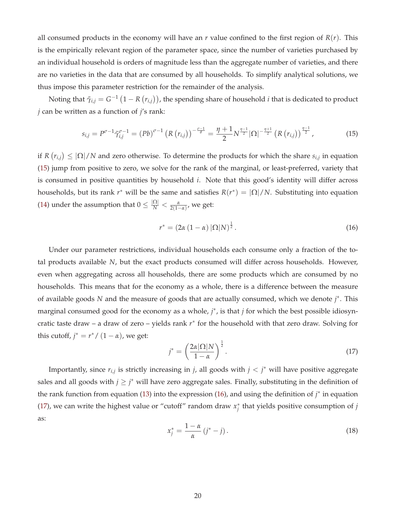all consumed products in the economy will have an  $r$  value confined to the first region of  $R(r)$ . This is the empirically relevant region of the parameter space, since the number of varieties purchased by an individual household is orders of magnitude less than the aggregate number of varieties, and there are no varieties in the data that are consumed by all households. To simplify analytical solutions, we thus impose this parameter restriction for the remainder of the analysis.

Noting that  $\tilde{\gamma}_{i,j} = G^{-1}\left(1 - R\left(r_{i,j}\right)\right)$ , the spending share of household  $i$  that is dedicated to product *j* can be written as a function of *j*'s rank:

$$
s_{i,j} = P^{\sigma-1} \tilde{\gamma}_{i,j}^{\sigma-1} = (Pb)^{\sigma-1} \left( R(r_{i,j}) \right)^{-\frac{\sigma-1}{\theta}} = \frac{\eta+1}{2} N^{\frac{\eta-1}{2}} |\Omega|^{-\frac{\eta+1}{2}} \left( R(r_{i,j}) \right)^{\frac{\eta-1}{2}}, \tag{15}
$$

if  $R(r_{i,j}) \leq |\Omega|/N$  and zero otherwise. To determine the products for which the share  $s_{i,j}$  in equation (15) jump from positive to zero, we solve for the rank of the marginal, or least-preferred, variety that is consumed in positive quantities by household *i*. Note that this good's identity will differ across households, but its rank  $r^*$  will be the same and satisfies  $R(r^*) = |\Omega|/N$ . Substituting into equation (14) under the assumption that  $0 \leq \frac{|\Omega|}{N} < \frac{\alpha}{2(1-\alpha)}$ , we get:

$$
r^* = \left(2\alpha \left(1 - \alpha\right) |\Omega| N\right)^{\frac{1}{2}}.
$$
\n(16)

Under our parameter restrictions, individual households each consume only a fraction of the total products available *N*, but the exact products consumed will differ across households. However, even when aggregating across all households, there are some products which are consumed by no households. This means that for the economy as a whole, there is a difference between the measure of available goods *N* and the measure of goods that are actually consumed, which we denote *j* ∗. This marginal consumed good for the economy as a whole, *j* ∗, is that *j* for which the best possible idiosyncratic taste draw – a draw of zero – yields rank *r*∗ for the household with that zero draw. Solving for this cutoff,  $j^* = r^* / (1 - \alpha)$ , we get:

$$
j^* = \left(\frac{2\alpha|\Omega|N}{1-\alpha}\right)^{\frac{1}{2}}.\tag{17}
$$

Importantly, since  $r_{i,j}$  is strictly increasing in *j*, all goods with  $j < j^*$  will have positive aggregate sales and all goods with  $j \geq j^*$  will have zero aggregate sales. Finally, substituting in the definition of the rank function from equation (13) into the expression (16), and using the definition of *j* ∗ in equation (17), we can write the highest value or "cutoff" random draw *x*∗ *<sup>j</sup>* that yields positive consumption of *j* as:

$$
x_j^* = \frac{1 - \alpha}{\alpha} \left( j^* - j \right). \tag{18}
$$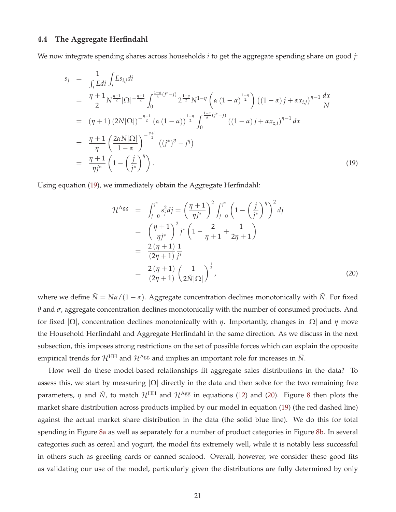### **4.4 The Aggregate Herfindahl**

We now integrate spending shares across households *i* to get the aggregate spending share on good *j*:

$$
s_{j} = \frac{1}{\int_{i} Edi} \int_{i} Es_{i,j}di
$$
  
\n
$$
= \frac{\eta + 1}{2} N^{\frac{\eta - 1}{2}} |\Omega|^{-\frac{\eta + 1}{2}} \int_{0}^{\frac{1 - \alpha}{\alpha} (j^{*} - j)} 2^{\frac{1 - \eta}{2}} N^{1 - \eta} \left( \alpha (1 - \alpha)^{\frac{1 - \eta}{2}} \right) ((1 - \alpha) j + \alpha x_{i,j})^{\eta - 1} \frac{dx}{N}
$$
  
\n
$$
= (\eta + 1) (2N |\Omega|)^{-\frac{\eta + 1}{2}} (\alpha (1 - \alpha))^{\frac{1 - \eta}{2}} \int_{0}^{\frac{1 - \alpha}{\alpha} (j^{*} - j)} ((1 - \alpha) j + \alpha x_{z,i})^{\eta - 1} dx
$$
  
\n
$$
= \frac{\eta + 1}{\eta} \left( \frac{2\alpha N |\Omega|}{1 - \alpha} \right)^{-\frac{\eta + 1}{2}} ((j^{*})^{\eta} - j^{\eta})
$$
  
\n
$$
= \frac{\eta + 1}{\eta j^{*}} \left( 1 - \left( \frac{j}{j^{*}} \right)^{\eta} \right).
$$
  
\n(19)

Using equation (19), we immediately obtain the Aggregate Herfindahl:

$$
\mathcal{H}^{\text{Agg}} = \int_{j=0}^{j^*} s_j^2 dj = \left(\frac{\eta + 1}{\eta j^*}\right)^2 \int_{j=0}^{j^*} \left(1 - \left(\frac{j}{j^*}\right)^{\eta}\right)^2 dj
$$
  
\n
$$
= \left(\frac{\eta + 1}{\eta j^*}\right)^2 j^* \left(1 - \frac{2}{\eta + 1} + \frac{1}{2\eta + 1}\right)
$$
  
\n
$$
= \frac{2(\eta + 1)}{(2\eta + 1)} \frac{1}{j^*}
$$
  
\n
$$
= \frac{2(\eta + 1)}{(2\eta + 1)} \left(\frac{1}{2\tilde{N}|\Omega|}\right)^{\frac{1}{2}},
$$
 (20)

where we define  $\tilde{N} = N\alpha/(1 - \alpha)$ . Aggregate concentration declines monotonically with  $\tilde{N}$ . For fixed *θ* and *σ*, aggregate concentration declines monotonically with the number of consumed products. And for fixed |Ω|, concentration declines monotonically with *η*. Importantly, changes in |Ω| and *η* move the Household Herfindahl and Aggregate Herfindahl in the same direction. As we discuss in the next subsection, this imposes strong restrictions on the set of possible forces which can explain the opposite empirical trends for  $\mathcal{H}^{\text{HH}}$  and  $\mathcal{H}^{\text{Agg}}$  and implies an important role for increases in  $\tilde{N}$ .

How well do these model-based relationships fit aggregate sales distributions in the data? To assess this, we start by measuring  $|\Omega|$  directly in the data and then solve for the two remaining free parameters,  $\eta$  and  $\tilde{N}$ , to match  $\mathcal{H}^{\rm HH}$  and  $\mathcal{H}^{\rm Agg}$  in equations (12) and (20). Figure 8 then plots the market share distribution across products implied by our model in equation (19) (the red dashed line) against the actual market share distribution in the data (the solid blue line). We do this for total spending in Figure 8a as well as separately for a number of product categories in Figure 8b. In several categories such as cereal and yogurt, the model fits extremely well, while it is notably less successful in others such as greeting cards or canned seafood. Overall, however, we consider these good fits as validating our use of the model, particularly given the distributions are fully determined by only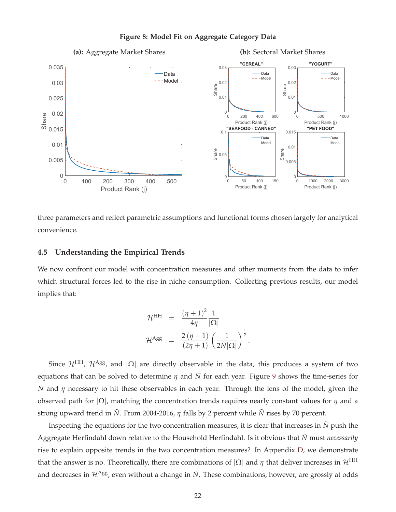

### **Figure 8: Model Fit on Aggregate Category Data**

three parameters and reflect parametric assumptions and functional forms chosen largely for analytical convenience.

### **4.5 Understanding the Empirical Trends**

We now confront our model with concentration measures and other moments from the data to infer which structural forces led to the rise in niche consumption. Collecting previous results, our model implies that:

$$
\mathcal{H}^{\text{HH}} = \frac{(\eta + 1)^2}{4\eta} \frac{1}{|\Omega|}
$$

$$
\mathcal{H}^{\text{Agg}} = \frac{2(\eta + 1)}{(2\eta + 1)} \left(\frac{1}{2\tilde{N}|\Omega|}\right)^{\frac{1}{2}}
$$

.

Since  $\mathcal{H}^{\text{HH}}$ ,  $\mathcal{H}^{\text{Agg}}$ , and  $|\Omega|$  are directly observable in the data, this produces a system of two equations that can be solved to determine  $\eta$  and  $\tilde{N}$  for each year. Figure 9 shows the time-series for  $\tilde{N}$  and  $\eta$  necessary to hit these observables in each year. Through the lens of the model, given the observed path for |Ω|, matching the concentration trends requires nearly constant values for *η* and a strong upward trend in *N*˜ . From 2004-2016, *η* falls by 2 percent while *N*˜ rises by 70 percent.

Inspecting the equations for the two concentration measures, it is clear that increases in  $\tilde{N}$  push the Aggregate Herfindahl down relative to the Household Herfindahl. Is it obvious that *N*˜ must *necessarily* rise to explain opposite trends in the two concentration measures? In Appendix D, we demonstrate that the answer is no. Theoretically, there are combinations of  $|\Omega|$  and  $\eta$  that deliver increases in  $\mathcal{H}^{\rm HH}$ and decreases in  $\mathcal{H}^{Agg}$ , even without a change in  $\tilde{N}$ . These combinations, however, are grossly at odds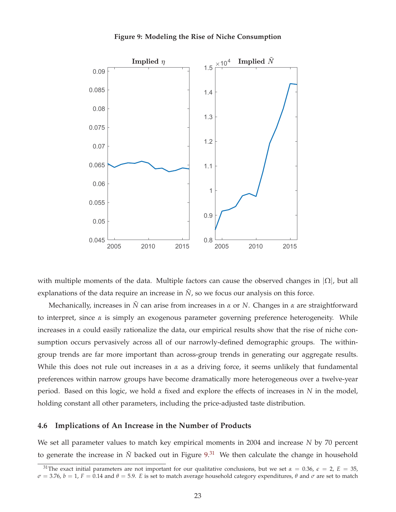



with multiple moments of the data. Multiple factors can cause the observed changes in  $|\Omega|$ , but all explanations of the data require an increase in  $\tilde{N}$ , so we focus our analysis on this force.

Mechanically, increases in *N*˜ can arise from increases in *α* or *N*. Changes in *α* are straightforward to interpret, since  $\alpha$  is simply an exogenous parameter governing preference heterogeneity. While increases in *α* could easily rationalize the data, our empirical results show that the rise of niche consumption occurs pervasively across all of our narrowly-defined demographic groups. The withingroup trends are far more important than across-group trends in generating our aggregate results. While this does not rule out increases in *α* as a driving force, it seems unlikely that fundamental preferences within narrow groups have become dramatically more heterogeneous over a twelve-year period. Based on this logic, we hold *α* fixed and explore the effects of increases in *N* in the model, holding constant all other parameters, including the price-adjusted taste distribution.

### **4.6 Implications of An Increase in the Number of Products**

We set all parameter values to match key empirical moments in 2004 and increase *N* by 70 percent to generate the increase in  $\tilde{N}$  backed out in Figure 9.<sup>31</sup> We then calculate the change in household

<sup>&</sup>lt;sup>31</sup>The exact initial parameters are not important for our qualitative conclusions, but we set  $\alpha = 0.36$ ,  $\epsilon = 2$ ,  $E = 35$ ,  $σ = 3.76$ ,  $b = 1$ ,  $F = 0.14$  and  $θ = 5.9$ . *E* is set to match average household category expenditures,  $θ$  and  $σ$  are set to match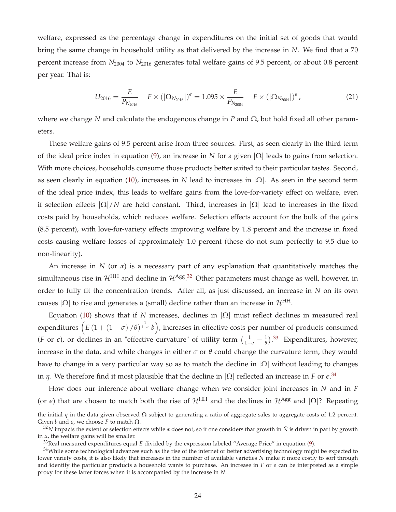welfare, expressed as the percentage change in expenditures on the initial set of goods that would bring the same change in household utility as that delivered by the increase in *N*. We find that a 70 percent increase from  $N_{2004}$  to  $N_{2016}$  generates total welfare gains of 9.5 percent, or about 0.8 percent per year. That is:

$$
U_{2016} = \frac{E}{P_{N_{2016}}} - F \times (|\Omega_{N_{2016}}|)^{\epsilon} = 1.095 \times \frac{E}{P_{N_{2004}}} - F \times (|\Omega_{N_{2004}}|)^{\epsilon}, \tag{21}
$$

where we change *N* and calculate the endogenous change in *P* and Ω, but hold fixed all other parameters.

These welfare gains of 9.5 percent arise from three sources. First, as seen clearly in the third term of the ideal price index in equation (9), an increase in *N* for a given |Ω| leads to gains from selection. With more choices, households consume those products better suited to their particular tastes. Second, as seen clearly in equation (10), increases in *N* lead to increases in  $|\Omega|$ . As seen in the second term of the ideal price index, this leads to welfare gains from the love-for-variety effect on welfare, even if selection effects  $|\Omega|/N$  are held constant. Third, increases in  $|\Omega|$  lead to increases in the fixed costs paid by households, which reduces welfare. Selection effects account for the bulk of the gains (8.5 percent), with love-for-variety effects improving welfare by 1.8 percent and the increase in fixed costs causing welfare losses of approximately 1.0 percent (these do not sum perfectly to 9.5 due to non-linearity).

An increase in *N* (or *α*) is a necessary part of any explanation that quantitatively matches the simultaneous rise in  $\mathcal{H}^{\text{HH}}$  and decline in  $\mathcal{H}^{\text{Agg},32}$  Other parameters must change as well, however, in order to fully fit the concentration trends. After all, as just discussed, an increase in *N* on its own causes  $|\Omega|$  to rise and generates a (small) decline rather than an increase in  $\mathcal{H}^{\rm HH}$ .

Equation (10) shows that if *N* increases, declines in  $|\Omega|$  must reflect declines in measured real expenditures  $\left(E\left(1+\left(1-\sigma\right)/\theta\right)^{\frac{1}{1-\sigma}}b\right)$ , increases in effective costs per number of products consumed (*F* or  $\epsilon$ ), or declines in an "effective curvature" of utility term  $(\frac{1}{1-\sigma}-\frac{1}{\theta})$ .<sup>33</sup> Expenditures, however, increase in the data, and while changes in either  $\sigma$  or  $\theta$  could change the curvature term, they would have to change in a very particular way so as to match the decline in  $|\Omega|$  without leading to changes in *η*. We therefore find it most plausible that the decline in  $|\Omega|$  reflected an increase in *F* or  $\epsilon^{0.34}$ 

How does our inference about welfare change when we consider joint increases in *N* and in *F* (or  $\epsilon$ ) that are chosen to match both the rise of  $\mathcal{H}^{\text{HH}}$  and the declines in  $\mathcal{H}^{\text{Agg}}$  and  $|\Omega|$ ? Repeating

the initial *η* in the data given observed Ω subject to generating a ratio of aggregate sales to aggregate costs of 1.2 percent. Given *b* and  $\epsilon$ , we choose *F* to match  $\Omega$ .

 $32$ *N* impacts the extent of selection effects while *α* does not, so if one considers that growth in  $\tilde{N}$  is driven in part by growth in *α*, the welfare gains will be smaller.

<sup>33</sup>Real measured expenditures equal *E* divided by the expression labeled "Average Price" in equation (9).

 $34$ While some technological advances such as the rise of the internet or better advertising technology might be expected to lower variety costs, it is also likely that increases in the number of available varieties *N* make it more costly to sort through and identify the particular products a household wants to purchase. An increase in  $F$  or  $\epsilon$  can be interpreted as a simple proxy for these latter forces when it is accompanied by the increase in *N*.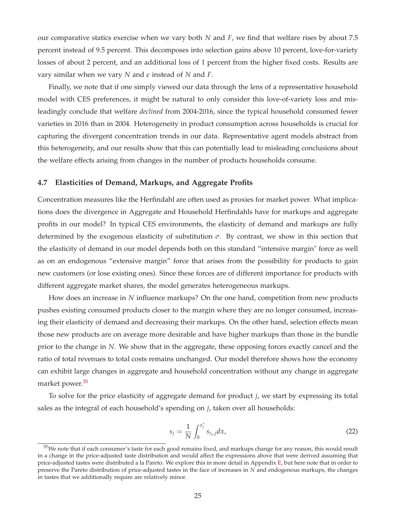our comparative statics exercise when we vary both *N* and *F*, we find that welfare rises by about 7.5 percent instead of 9.5 percent. This decomposes into selection gains above 10 percent, love-for-variety losses of about 2 percent, and an additional loss of 1 percent from the higher fixed costs. Results are vary similar when we vary  $N$  and  $\epsilon$  instead of  $N$  and  $F$ .

Finally, we note that if one simply viewed our data through the lens of a representative household model with CES preferences, it might be natural to only consider this love-of-variety loss and misleadingly conclude that welfare *declined* from 2004-2016, since the typical household consumed fewer varieties in 2016 than in 2004. Heterogeneity in product consumption across households is crucial for capturing the divergent concentration trends in our data. Representative agent models abstract from this heterogeneity, and our results show that this can potentially lead to misleading conclusions about the welfare effects arising from changes in the number of products households consume.

### **4.7 Elasticities of Demand, Markups, and Aggregate Profits**

Concentration measures like the Herfindahl are often used as proxies for market power. What implications does the divergence in Aggregate and Household Herfindahls have for markups and aggregate profits in our model? In typical CES environments, the elasticity of demand and markups are fully determined by the exogenous elasticity of substitution  $\sigma$ . By contrast, we show in this section that the elasticity of demand in our model depends both on this standard "intensive margin" force as well as on an endogenous "extensive margin" force that arises from the possibility for products to gain new customers (or lose existing ones). Since these forces are of different importance for products with different aggregate market shares, the model generates heterogeneous markups.

How does an increase in *N* influence markups? On the one hand, competition from new products pushes existing consumed products closer to the margin where they are no longer consumed, increasing their elasticity of demand and decreasing their markups. On the other hand, selection effects mean those new products are on average more desirable and have higher markups than those in the bundle prior to the change in *N*. We show that in the aggregate, these opposing forces exactly cancel and the ratio of total revenues to total costs remains unchanged. Our model therefore shows how the economy can exhibit large changes in aggregate and household concentration without any change in aggregate market power.<sup>35</sup>

To solve for the price elasticity of aggregate demand for product *j*, we start by expressing its total sales as the integral of each household's spending on *j*, taken over all households:

$$
s_j = \frac{1}{N} \int_0^{x_j^*} s_{i_x,j} dx,
$$
\n(22)

<sup>&</sup>lt;sup>35</sup>We note that if each consumer's taste for each good remains fixed, and markups change for any reason, this would result in a change in the price-adjusted taste distribution and would affect the expressions above that were derived assuming that price-adjusted tastes were distributed a la Pareto. We explore this in more detail in Appendix E, but here note that in order to preserve the Pareto distribution of price-adjusted tastes in the face of increases in *N* and endogenous markups, the changes in tastes that we additionally require are relatively minor.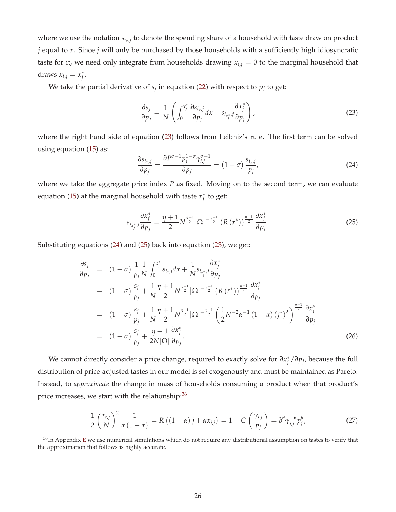where we use the notation  $s_{i_x,j}$  to denote the spending share of a household with taste draw on product *j* equal to *x*. Since *j* will only be purchased by those households with a sufficiently high idiosyncratic taste for it, we need only integrate from households drawing  $x_{i,j} = 0$  to the marginal household that draws  $x_{i,j} = x_j^*$ .

We take the partial derivative of  $s_j$  in equation (22) with respect to  $p_j$  to get:

$$
\frac{\partial s_j}{\partial p_j} = \frac{1}{N} \left( \int_0^{x_j^*} \frac{\partial s_{i_x,j}}{\partial p_j} dx + s_{i_{x_j^*},j} \frac{\partial x_j^*}{\partial p_j} \right),
$$
\n(23)

where the right hand side of equation (23) follows from Leibniz's rule. The first term can be solved using equation (15) as:

$$
\frac{\partial s_{i_x,j}}{\partial p_j} = \frac{\partial P^{\sigma-1} p_j^{1-\sigma} \gamma_{i,j}^{\sigma-1}}{\partial p_j} = (1-\sigma) \frac{s_{i_x,j}}{p_j},\tag{24}
$$

where we take the aggregate price index *P* as fixed. Moving on to the second term, we can evaluate equation (15) at the marginal household with taste *x*∗ *<sup>j</sup>* to get:

$$
s_{i_{x_j^*},j} \frac{\partial x_j^*}{\partial p_j} = \frac{\eta + 1}{2} N^{\frac{\eta - 1}{2}} |\Omega|^{-\frac{\eta + 1}{2}} (R(r^*))^{\frac{\eta - 1}{2}} \frac{\partial x_j^*}{\partial p_j}.
$$
 (25)

Substituting equations (24) and (25) back into equation (23), we get:

$$
\frac{\partial s_j}{\partial p_j} = (1 - \sigma) \frac{1}{p_j} \frac{1}{N} \int_0^{x_j^*} s_{i_x, j} dx + \frac{1}{N} s_{i_x, j} \frac{\partial x_j^*}{\partial p_j} \n= (1 - \sigma) \frac{s_j}{p_j} + \frac{1}{N} \frac{\eta + 1}{2} N^{\frac{\eta - 1}{2}} |\Omega|^{-\frac{\eta + 1}{2}} (R (r^*))^{\frac{\eta - 1}{2}} \frac{\partial x_j^*}{\partial p_j} \n= (1 - \sigma) \frac{s_j}{p_j} + \frac{1}{N} \frac{\eta + 1}{2} N^{\frac{\eta - 1}{2}} |\Omega|^{-\frac{\eta + 1}{2}} \left(\frac{1}{2} N^{-2} \alpha^{-1} (1 - \alpha) (j^*)^2\right)^{\frac{\eta - 1}{2}} \frac{\partial x_j^*}{\partial p_j} \n= (1 - \sigma) \frac{s_j}{p_j} + \frac{\eta + 1}{2N |\Omega|} \frac{\partial x_j^*}{\partial p_j}.
$$
\n(26)

We cannot directly consider a price change, required to exactly solve for *∂x*∗ *<sup>j</sup>* /*∂pj*, because the full distribution of price-adjusted tastes in our model is set exogenously and must be maintained as Pareto. Instead, to *approximate* the change in mass of households consuming a product when that product's price increases, we start with the relationship: $36$ 

$$
\frac{1}{2}\left(\frac{r_{i,j}}{N}\right)^2 \frac{1}{\alpha(1-\alpha)} = R\left((1-\alpha)j + \alpha x_{i,j}\right) = 1 - G\left(\frac{\gamma_{i,j}}{p_j}\right) = b^{\theta}\gamma_{i,j}^{-\theta}p_j^{\theta},\tag{27}
$$

 $36$ In Appendix E we use numerical simulations which do not require any distributional assumption on tastes to verify that the approximation that follows is highly accurate.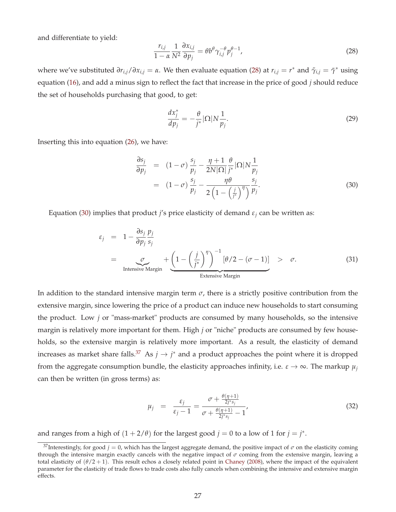and differentiate to yield:

$$
\frac{r_{i,j}}{1-\alpha} \frac{1}{N^2} \frac{\partial x_{i,j}}{\partial p_j} = \theta b^{\theta} \gamma_{i,j}^{-\theta} p_j^{\theta-1},\tag{28}
$$

where we've substituted  $\partial r_{i,j}/\partial x_{i,j} = \alpha$ . We then evaluate equation (28) at  $r_{i,j} = r^*$  and  $\tilde{\gamma}_{i,j} = \tilde{\gamma}^*$  using equation (16), and add a minus sign to reflect the fact that increase in the price of good *j* should reduce the set of households purchasing that good, to get:

$$
\frac{dx_j^*}{dp_j} = -\frac{\theta}{j^*} |\Omega| N \frac{1}{p_j}.\tag{29}
$$

Inserting this into equation (26), we have:

$$
\frac{\partial s_j}{\partial p_j} = (1 - \sigma) \frac{s_j}{p_j} - \frac{\eta + 1}{2N|\Omega|} \frac{\theta}{j^*} |\Omega| N \frac{1}{p_j}
$$
  
= 
$$
(1 - \sigma) \frac{s_j}{p_j} - \frac{\eta \theta}{2\left(1 - \left(\frac{j}{j^*}\right)^{\eta}\right)} \frac{s_j}{p_j}.
$$
 (30)

Equation (30) implies that product *j's* price elasticity of demand  $\varepsilon_i$  can be written as:

$$
\varepsilon_{j} = 1 - \frac{\partial s_{j}}{\partial p_{j}} \frac{p_{j}}{s_{j}}
$$
\n
$$
= \underbrace{\sigma}_{\text{Intensive Margin}} + \underbrace{\left(1 - \left(\frac{j}{j^{*}}\right)^{\eta}\right)^{-1} [\theta/2 - (\sigma - 1)]}_{\text{Extensive Margin}} > \sigma.
$$
\n(31)

In addition to the standard intensive margin term  $\sigma$ , there is a strictly positive contribution from the extensive margin, since lowering the price of a product can induce new households to start consuming the product. Low *j* or "mass-market" products are consumed by many households, so the intensive margin is relatively more important for them. High *j* or "niche" products are consumed by few households, so the extensive margin is relatively more important. As a result, the elasticity of demand increases as market share falls.<sup>37</sup> As  $j \to j^*$  and a product approaches the point where it is dropped from the aggregate consumption bundle, the elasticity approaches infinity, i.e.  $\varepsilon \to \infty$ . The markup  $\mu_i$ can then be written (in gross terms) as:

$$
\mu_j = \frac{\varepsilon_j}{\varepsilon_j - 1} = \frac{\sigma + \frac{\theta(\eta + 1)}{2j^*s_j}}{\sigma + \frac{\theta(\eta + 1)}{2j^*s_j} - 1'},\tag{32}
$$

and ranges from a high of  $(1 + 2/\theta)$  for the largest good  $j = 0$  to a low of 1 for  $j = j^*$ .

<sup>&</sup>lt;sup>37</sup>Interestingly, for good  $j = 0$ , which has the largest aggregate demand, the positive impact of  $\sigma$  on the elasticity coming through the intensive margin exactly cancels with the negative impact of *σ* coming from the extensive margin, leaving a total elasticity of  $(\theta/2 + 1)$ . This result echos a closely related point in Chaney (2008), where the impact of the equivalent parameter for the elasticity of trade flows to trade costs also fully cancels when combining the intensive and extensive margin effects.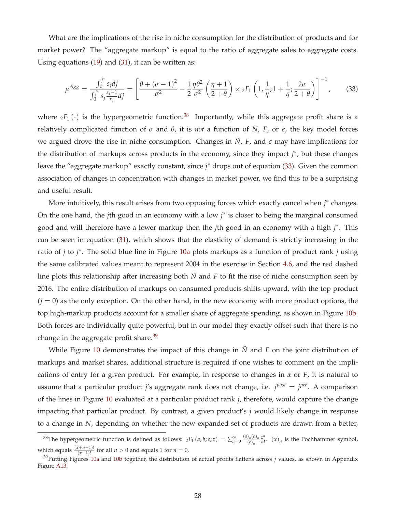What are the implications of the rise in niche consumption for the distribution of products and for market power? The "aggregate markup" is equal to the ratio of aggregate sales to aggregate costs. Using equations (19) and (31), it can be written as:

$$
\mu^{Agg} = \frac{\int_0^{j^*} s_j dj}{\int_0^{j^*} s_j \frac{\varepsilon_j - 1}{\varepsilon_j} dj} = \left[ \frac{\theta + (\sigma - 1)^2}{\sigma^2} - \frac{1}{2} \frac{\eta \theta^2}{\sigma^2} \left( \frac{\eta + 1}{2 + \theta} \right) \times {}_2F_1 \left( 1, \frac{1}{\eta}; 1 + \frac{1}{\eta}; \frac{2\sigma}{2 + \theta} \right) \right]^{-1}, \tag{33}
$$

where  $_2F_1(\cdot)$  is the hypergeometric function.<sup>38</sup> Importantly, while this aggregate profit share is a relatively complicated function of  $\sigma$  and  $\theta$ , it is *not* a function of  $\tilde{N}$ ,  $F$ , or  $\epsilon$ , the key model forces we argued drove the rise in niche consumption. Changes in  $\tilde{N}$ ,  $F$ , and  $\epsilon$  may have implications for the distribution of markups across products in the economy, since they impact *j* ∗, but these changes leave the "aggregate markup" exactly constant, since *j* ∗ drops out of equation (33). Given the common association of changes in concentration with changes in market power, we find this to be a surprising and useful result.

More intuitively, this result arises from two opposing forces which exactly cancel when *j* ∗ changes. On the one hand, the *j*th good in an economy with a low *j* ∗ is closer to being the marginal consumed good and will therefore have a lower markup then the *j*th good in an economy with a high *j* ∗. This can be seen in equation (31), which shows that the elasticity of demand is strictly increasing in the ratio of *j* to *j* ∗. The solid blue line in Figure 10a plots markups as a function of product rank *j* using the same calibrated values meant to represent 2004 in the exercise in Section 4.6, and the red dashed line plots this relationship after increasing both  $\tilde{N}$  and  $F$  to fit the rise of niche consumption seen by 2016. The entire distribution of markups on consumed products shifts upward, with the top product  $(j = 0)$  as the only exception. On the other hand, in the new economy with more product options, the top high-markup products account for a smaller share of aggregate spending, as shown in Figure 10b. Both forces are individually quite powerful, but in our model they exactly offset such that there is no change in the aggregate profit share.<sup>39</sup>

While Figure 10 demonstrates the impact of this change in  $\tilde{N}$  and  $\tilde{F}$  on the joint distribution of markups and market shares, additional structure is required if one wishes to comment on the implications of entry for a given product. For example, in response to changes in *α* or *F*, it is natural to assume that a particular product *j*'s aggregate rank does not change, i.e. *j post* = *j pre*. A comparison of the lines in Figure 10 evaluated at a particular product rank *j*, therefore, would capture the change impacting that particular product. By contrast, a given product's *j* would likely change in response to a change in *N*, depending on whether the new expanded set of products are drawn from a better,

<sup>&</sup>lt;sup>38</sup>The hypergeometric function is defined as follows:  ${}_{2}F_{1}(a,b;c;z) = \sum_{n=0}^{\infty} \frac{(a)_{n}(b)_{n}}{(c)_{n}}$  $\frac{\partial_n(b)_n}{\partial (c)_n} \frac{z^n}{n!}$ .  $(x)_n$  is the Pochhammer symbol, which equals  $\frac{(x+n-1)!}{(x-1)!}$  for all *n* > 0 and equals 1 for *n* = 0.

<sup>&</sup>lt;sup>39</sup>Putting Figures 10a and 10b together, the distribution of actual profits flattens across *j* values, as shown in Appendix Figure A13.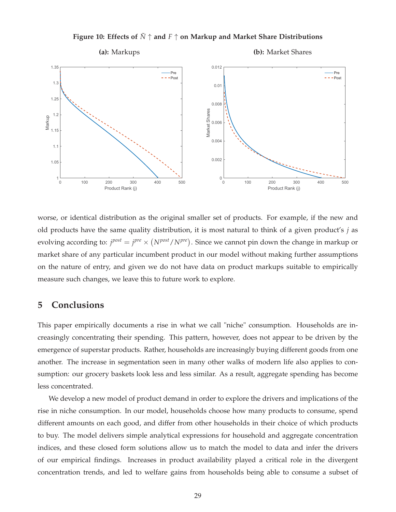

**Figure 10: Effects of** *<sup>N</sup>*˜ <sup>↑</sup> **and** *<sup>F</sup>* <sup>↑</sup> **on Markup and Market Share Distributions**

worse, or identical distribution as the original smaller set of products. For example, if the new and old products have the same quality distribution, it is most natural to think of a given product's *j* as evolving according to:  $j^{post} = j^{pre} \times (N^{post} / N^{pre})$ . Since we cannot pin down the change in markup or market share of any particular incumbent product in our model without making further assumptions on the nature of entry, and given we do not have data on product markups suitable to empirically measure such changes, we leave this to future work to explore.

# **5 Conclusions**

This paper empirically documents a rise in what we call "niche" consumption. Households are increasingly concentrating their spending. This pattern, however, does not appear to be driven by the emergence of superstar products. Rather, households are increasingly buying different goods from one another. The increase in segmentation seen in many other walks of modern life also applies to consumption: our grocery baskets look less and less similar. As a result, aggregate spending has become less concentrated.

We develop a new model of product demand in order to explore the drivers and implications of the rise in niche consumption. In our model, households choose how many products to consume, spend different amounts on each good, and differ from other households in their choice of which products to buy. The model delivers simple analytical expressions for household and aggregate concentration indices, and these closed form solutions allow us to match the model to data and infer the drivers of our empirical findings. Increases in product availability played a critical role in the divergent concentration trends, and led to welfare gains from households being able to consume a subset of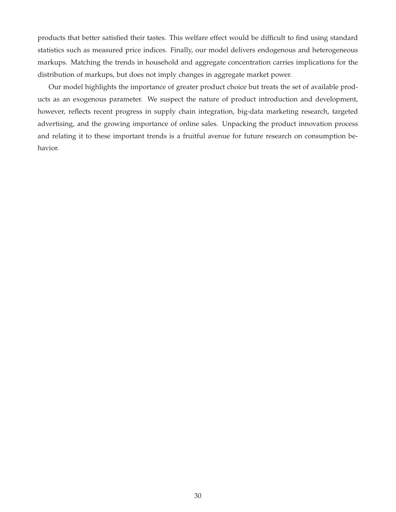products that better satisfied their tastes. This welfare effect would be difficult to find using standard statistics such as measured price indices. Finally, our model delivers endogenous and heterogeneous markups. Matching the trends in household and aggregate concentration carries implications for the distribution of markups, but does not imply changes in aggregate market power.

Our model highlights the importance of greater product choice but treats the set of available products as an exogenous parameter. We suspect the nature of product introduction and development, however, reflects recent progress in supply chain integration, big-data marketing research, targeted advertising, and the growing importance of online sales. Unpacking the product innovation process and relating it to these important trends is a fruitful avenue for future research on consumption behavior.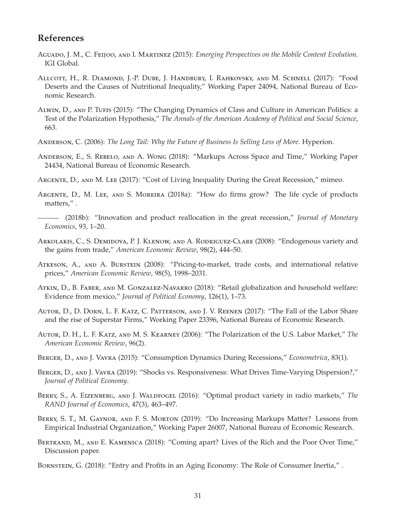# **References**

- Aguado, J. M., C. Feijoo, and I. Martinez (2015): *Emerging Perspectives on the Mobile Content Evolution*. IGI Global.
- Allcott, H., R. Diamond, J.-P. Dube, J. Handbury, I. Rahkovsky, and M. Schnell (2017): "Food Deserts and the Causes of Nutritional Inequality," Working Paper 24094, National Bureau of Economic Research.
- Alwin, D., and P. Tufis (2015): "The Changing Dynamics of Class and Culture in American Politics: a Test of the Polarization Hypothesis," *The Annals of the American Academy of Political and Social Science*, 663.
- Anderson, C. (2006): *The Long Tail: Why the Future of Business Is Selling Less of More*. Hyperion.
- Anderson, E., S. Rebelo, and A. Wong (2018): "Markups Across Space and Time," Working Paper 24434, National Bureau of Economic Research.
- Argente, D., and M. Lee (2017): "Cost of Living Inequality During the Great Recession," mimeo.
- ARGENTE, D., M. LEE, AND S. MOREIRA (2018a): "How do firms grow? The life cycle of products matters," .
- (2018b): "Innovation and product reallocation in the great recession," *Journal of Monetary Economics*, 93, 1–20.
- Arkolakis, C., S. Demidova, P. J. Klenow, and A. Rodriguez-Clare (2008): "Endogenous variety and the gains from trade," *American Economic Review*, 98(2), 444–50.
- Atkeson, A., and A. Burstein (2008): "Pricing-to-market, trade costs, and international relative prices," *American Economic Review*, 98(5), 1998–2031.
- Atkin, D., B. Faber, and M. Gonzalez-Navarro (2018): "Retail globalization and household welfare: Evidence from mexico," *Journal of Political Economy*, 126(1), 1–73.
- Autor, D., D. Dorn, L. F. Katz, C. Patterson, and J. V. Reenen (2017): "The Fall of the Labor Share and the rise of Superstar Firms," Working Paper 23396, National Bureau of Economic Research.
- Autor, D. H., L. F. Katz, and M. S. Kearney (2006): "The Polarization of the U.S. Labor Market," *The American Economic Review*, 96(2).
- Berger, D., and J. Vavra (2015): "Consumption Dynamics During Recessions," *Econometrica*, 83(1).
- BERGER, D., AND J. VAVRA (2019): "Shocks vs. Responsiveness: What Drives Time-Varying Dispersion?," *Journal of Political Economy*.
- Berry, S., A. Eizenberg, and J. Waldfogel (2016): "Optimal product variety in radio markets," *The RAND Journal of Economics*, 47(3), 463–497.
- Berry, S. T., M. Gaynor, and F. S. Morton (2019): "Do Increasing Markups Matter? Lessons from Empirical Industrial Organization," Working Paper 26007, National Bureau of Economic Research.
- BERTRAND, M., AND E. KAMENICA (2018): "Coming apart? Lives of the Rich and the Poor Over Time," Discussion paper.
- Bornstein, G. (2018): "Entry and Profits in an Aging Economy: The Role of Consumer Inertia," .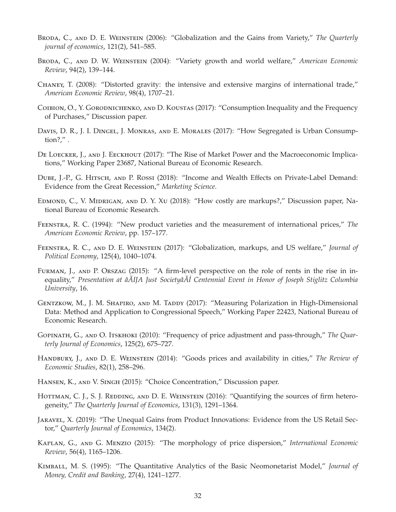- BRODA, C., AND D. E. WEINSTEIN (2006): "Globalization and the Gains from Variety," The Quarterly *journal of economics*, 121(2), 541–585.
- Broda, C., and D. W. Weinstein (2004): "Variety growth and world welfare," *American Economic Review*, 94(2), 139–144.
- Chaney, T. (2008): "Distorted gravity: the intensive and extensive margins of international trade," *American Economic Review*, 98(4), 1707–21.
- COIBION, O., Y. GORODNICHENKO, AND D. KOUSTAS (2017): "Consumption Inequality and the Frequency of Purchases," Discussion paper.
- Davis, D. R., J. I. Dingel, J. Monras, and E. Morales (2017): "How Segregated is Urban Consumption?," .
- De Loecker, J., and J. Eeckhout (2017): "The Rise of Market Power and the Macroeconomic Implications," Working Paper 23687, National Bureau of Economic Research.
- DUBE, J.-P., G. HITSCH, AND P. ROSSI (2018): "Income and Wealth Effects on Private-Label Demand: Evidence from the Great Recession," *Marketing Science*.
- Edmond, C., V. Midrigan, and D. Y. Xu (2018): "How costly are markups?," Discussion paper, National Bureau of Economic Research.
- Feenstra, R. C. (1994): "New product varieties and the measurement of international prices," *The American Economic Review*, pp. 157–177.
- Feenstra, R. C., and D. E. Weinstein (2017): "Globalization, markups, and US welfare," *Journal of Political Economy*, 125(4), 1040–1074.
- FURMAN, J., AND P. ORSZAG (2015): "A firm-level perspective on the role of rents in the rise in inequality," *Presentation at âAIJA Just Societyâ ˘ A˘ ˙I Centennial Event in Honor of Joseph Stiglitz Columbia University*, 16.
- GENTZKOW, M., J. M. SHAPIRO, AND M. TADDY (2017): "Measuring Polarization in High-Dimensional Data: Method and Application to Congressional Speech," Working Paper 22423, National Bureau of Economic Research.
- Gopinath, G., and O. Itskhoki (2010): "Frequency of price adjustment and pass-through," *The Quarterly Journal of Economics*, 125(2), 675–727.
- Handbury, J., and D. E. Weinstein (2014): "Goods prices and availability in cities," *The Review of Economic Studies*, 82(1), 258–296.
- Hansen, K., and V. Singh (2015): "Choice Concentration," Discussion paper.
- HOTTMAN, C. J., S. J. REDDING, AND D. E. WEINSTEIN (2016): "Quantifying the sources of firm heterogeneity," *The Quarterly Journal of Economics*, 131(3), 1291–1364.
- Jaravel, X. (2019): "The Unequal Gains from Product Innovations: Evidence from the US Retail Sector," *Quarterly Journal of Economics*, 134(2).
- Kaplan, G., and G. Menzio (2015): "The morphology of price dispersion," *International Economic Review*, 56(4), 1165–1206.
- Kimball, M. S. (1995): "The Quantitative Analytics of the Basic Neomonetarist Model," *Journal of Money, Credit and Banking*, 27(4), 1241–1277.